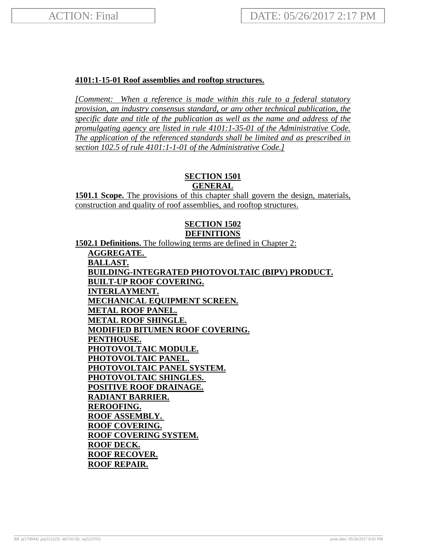# **4101:1-15-01 Roof assemblies and rooftop structures.**

*[Comment: When a reference is made within this rule to a federal statutory provision, an industry consensus standard, or any other technical publication, the specific date and title of the publication as well as the name and address of the promulgating agency are listed in rule 4101:1-35-01 of the Administrative Code. The application of the referenced standards shall be limited and as prescribed in section 102.5 of rule 4101:1-1-01 of the Administrative Code.]*

# **SECTION 1501**

**GENERAL**

**1501.1 Scope.** The provisions of this chapter shall govern the design, materials, construction and quality of roof assemblies, and rooftop structures.

# **SECTION 1502 DEFINITIONS**

**1502.1 Definitions.** The following terms are defined in Chapter 2:

**AGGREGATE. BALLAST. BUILDING-INTEGRATED PHOTOVOLTAIC (BIPV) PRODUCT. BUILT-UP ROOF COVERING. INTERLAYMENT. MECHANICAL EQUIPMENT SCREEN. METAL ROOF PANEL. METAL ROOF SHINGLE. MODIFIED BITUMEN ROOF COVERING. PENTHOUSE. PHOTOVOLTAIC MODULE. PHOTOVOLTAIC PANEL. PHOTOVOLTAIC PANEL SYSTEM. PHOTOVOLTAIC SHINGLES. POSITIVE ROOF DRAINAGE. RADIANT BARRIER. REROOFING. ROOF ASSEMBLY. ROOF COVERING. ROOF COVERING SYSTEM. ROOF DECK. ROOF RECOVER. ROOF REPAIR.**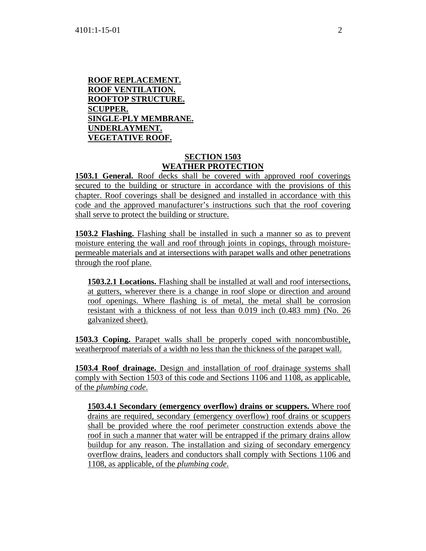### **ROOF REPLACEMENT. ROOF VENTILATION. ROOFTOP STRUCTURE. SCUPPER. SINGLE-PLY MEMBRANE. UNDERLAYMENT. VEGETATIVE ROOF.**

## **SECTION 1503 WEATHER PROTECTION**

**1503.1 General.** Roof decks shall be covered with approved roof coverings secured to the building or structure in accordance with the provisions of this chapter. Roof coverings shall be designed and installed in accordance with this code and the approved manufacturer's instructions such that the roof covering shall serve to protect the building or structure.

**1503.2 Flashing.** Flashing shall be installed in such a manner so as to prevent moisture entering the wall and roof through joints in copings, through moisturepermeable materials and at intersections with parapet walls and other penetrations through the roof plane.

**1503.2.1 Locations.** Flashing shall be installed at wall and roof intersections, at gutters, wherever there is a change in roof slope or direction and around roof openings. Where flashing is of metal, the metal shall be corrosion resistant with a thickness of not less than 0.019 inch (0.483 mm) (No. 26 galvanized sheet).

**1503.3 Coping.** Parapet walls shall be properly coped with noncombustible, weatherproof materials of a width no less than the thickness of the parapet wall.

**1503.4 Roof drainage.** Design and installation of roof drainage systems shall comply with Section 1503 of this code and Sections 1106 and 1108, as applicable, of the *plumbing code*.

**1503.4.1 Secondary (emergency overflow) drains or scuppers.** Where roof drains are required, secondary (emergency overflow) roof drains or scuppers shall be provided where the roof perimeter construction extends above the roof in such a manner that water will be entrapped if the primary drains allow buildup for any reason. The installation and sizing of secondary emergency overflow drains, leaders and conductors shall comply with Sections 1106 and 1108, as applicable, of the *plumbing code*.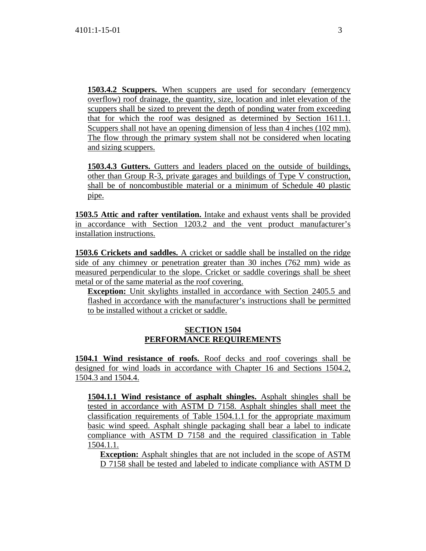**1503.4.2 Scuppers.** When scuppers are used for secondary (emergency overflow) roof drainage, the quantity, size, location and inlet elevation of the scuppers shall be sized to prevent the depth of ponding water from exceeding that for which the roof was designed as determined by Section 1611.1. Scuppers shall not have an opening dimension of less than 4 inches (102 mm). The flow through the primary system shall not be considered when locating and sizing scuppers.

**1503.4.3 Gutters.** Gutters and leaders placed on the outside of buildings, other than Group R-3, private garages and buildings of Type V construction, shall be of noncombustible material or a minimum of Schedule 40 plastic pipe.

**1503.5 Attic and rafter ventilation.** Intake and exhaust vents shall be provided in accordance with Section 1203.2 and the vent product manufacturer's installation instructions.

**1503.6 Crickets and saddles.** A cricket or saddle shall be installed on the ridge side of any chimney or penetration greater than 30 inches (762 mm) wide as measured perpendicular to the slope. Cricket or saddle coverings shall be sheet metal or of the same material as the roof covering.

**Exception:** Unit skylights installed in accordance with Section 2405.5 and flashed in accordance with the manufacturer's instructions shall be permitted to be installed without a cricket or saddle.

### **SECTION 1504 PERFORMANCE REQUIREMENTS**

**1504.1 Wind resistance of roofs.** Roof decks and roof coverings shall be designed for wind loads in accordance with Chapter 16 and Sections 1504.2, 1504.3 and 1504.4.

**1504.1.1 Wind resistance of asphalt shingles.** Asphalt shingles shall be tested in accordance with ASTM D 7158. Asphalt shingles shall meet the classification requirements of Table 1504.1.1 for the appropriate maximum basic wind speed. Asphalt shingle packaging shall bear a label to indicate compliance with ASTM D 7158 and the required classification in Table 1504.1.1.

**Exception:** Asphalt shingles that are not included in the scope of ASTM D 7158 shall be tested and labeled to indicate compliance with ASTM D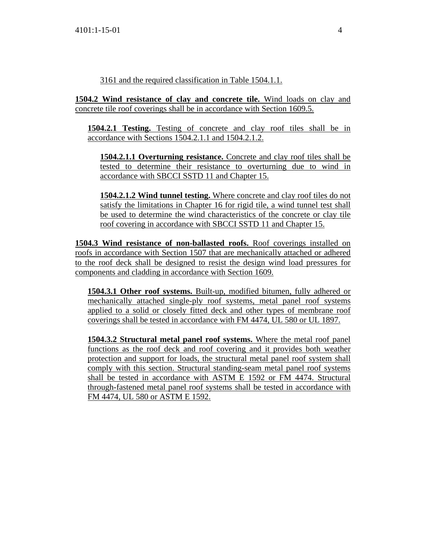3161 and the required classification in Table 1504.1.1.

**1504.2 Wind resistance of clay and concrete tile.** Wind loads on clay and concrete tile roof coverings shall be in accordance with Section 1609.5.

**1504.2.1 Testing.** Testing of concrete and clay roof tiles shall be in accordance with Sections 1504.2.1.1 and 1504.2.1.2.

**1504.2.1.1 Overturning resistance.** Concrete and clay roof tiles shall be tested to determine their resistance to overturning due to wind in accordance with SBCCI SSTD 11 and Chapter 15.

**1504.2.1.2 Wind tunnel testing.** Where concrete and clay roof tiles do not satisfy the limitations in Chapter 16 for rigid tile, a wind tunnel test shall be used to determine the wind characteristics of the concrete or clay tile roof covering in accordance with SBCCI SSTD 11 and Chapter 15.

**1504.3 Wind resistance of non-ballasted roofs.** Roof coverings installed on roofs in accordance with Section 1507 that are mechanically attached or adhered to the roof deck shall be designed to resist the design wind load pressures for components and cladding in accordance with Section 1609.

**1504.3.1 Other roof systems.** Built-up, modified bitumen, fully adhered or mechanically attached single-ply roof systems, metal panel roof systems applied to a solid or closely fitted deck and other types of membrane roof coverings shall be tested in accordance with FM 4474, UL 580 or UL 1897.

**1504.3.2 Structural metal panel roof systems.** Where the metal roof panel functions as the roof deck and roof covering and it provides both weather protection and support for loads, the structural metal panel roof system shall comply with this section. Structural standing-seam metal panel roof systems shall be tested in accordance with ASTM E 1592 or FM 4474. Structural through-fastened metal panel roof systems shall be tested in accordance with FM 4474, UL 580 or ASTM E 1592.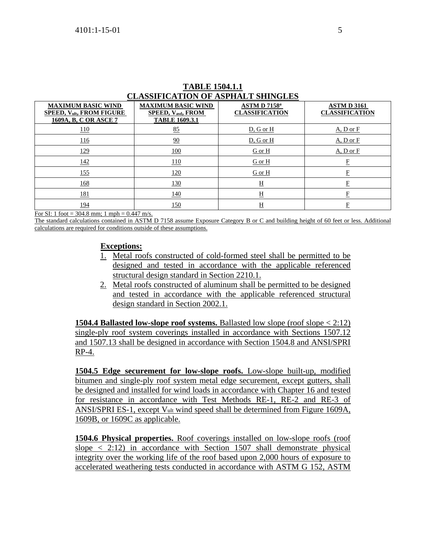| <b>CLASSIFICATION OF ASPHALT SHINGLES</b>                                             |                                                                                |                                                   |                                            |  |  |  |
|---------------------------------------------------------------------------------------|--------------------------------------------------------------------------------|---------------------------------------------------|--------------------------------------------|--|--|--|
| <b>MAXIMUM BASIC WIND</b><br><b>SPEED, Vult, FROM FIGURE</b><br>1609A, B, C OR ASCE 7 | <b>MAXIMUM BASIC WIND</b><br><b>SPEED, Vasd, FROM</b><br><b>TABLE 1609.3.1</b> | ASTM D 7158 <sup>a</sup><br><b>CLASSIFICATION</b> | <b>ASTMD 3161</b><br><b>CLASSIFICATION</b> |  |  |  |
| <u> 110</u>                                                                           | 85                                                                             | D, G or H                                         | A, D or F                                  |  |  |  |
| <u> 116</u>                                                                           | 90                                                                             | D, G or H                                         | A, D or F                                  |  |  |  |
| <u>129</u>                                                                            | 100                                                                            | G or H                                            | A, D or F                                  |  |  |  |
| 142                                                                                   | 110                                                                            | G or H                                            | $\mathbf{E}% _{0}$                         |  |  |  |
| 155                                                                                   | <u>120</u>                                                                     | G or H                                            | $\mathbf F$                                |  |  |  |
| <u>168</u>                                                                            | <u>130</u>                                                                     | $\underline{H}$                                   | E                                          |  |  |  |
| <u> 181</u>                                                                           | 140                                                                            | $\overline{H}$                                    | E                                          |  |  |  |
| <u> 194</u>                                                                           | 150                                                                            | <u>H</u>                                          | E                                          |  |  |  |

# **TABLE 1504.1.1**

For SI: 1 foot = 304.8 mm; 1 mph =  $0.447$  m/s.

The standard calculations contained in ASTM D 7158 assume Exposure Category B or C and building height of 60 feet or less. Additional calculations are required for conditions outside of these assumptions.

### **Exceptions:**

- 1. Metal roofs constructed of cold-formed steel shall be permitted to be designed and tested in accordance with the applicable referenced structural design standard in Section 2210.1.
- 2. Metal roofs constructed of aluminum shall be permitted to be designed and tested in accordance with the applicable referenced structural design standard in Section 2002.1.

**1504.4 Ballasted low-slope roof systems.** Ballasted low slope (roof slope < 2:12) single-ply roof system coverings installed in accordance with Sections 1507.12 and 1507.13 shall be designed in accordance with Section 1504.8 and ANSI/SPRI RP-4.

**1504.5 Edge securement for low-slope roofs.** Low-slope built-up, modified bitumen and single-ply roof system metal edge securement, except gutters, shall be designed and installed for wind loads in accordance with Chapter 16 and tested for resistance in accordance with Test Methods RE-1, RE-2 and RE-3 of ANSI/SPRI ES-1, except Vult wind speed shall be determined from Figure 1609A, 1609B, or 1609C as applicable.

**1504.6 Physical properties.** Roof coverings installed on low-slope roofs (roof slope  $\langle 2:12 \rangle$  in accordance with Section 1507 shall demonstrate physical integrity over the working life of the roof based upon 2,000 hours of exposure to accelerated weathering tests conducted in accordance with ASTM G 152, ASTM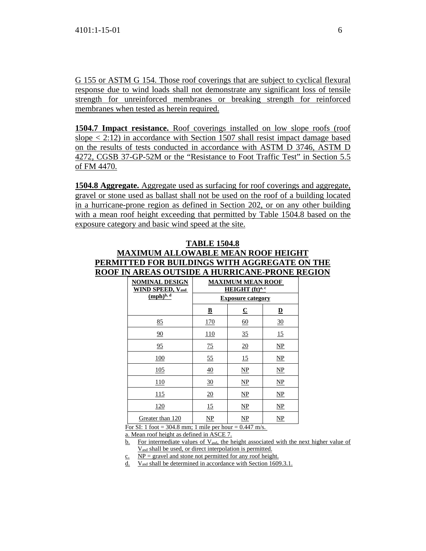G 155 or ASTM G 154. Those roof coverings that are subject to cyclical flexural response due to wind loads shall not demonstrate any significant loss of tensile strength for unreinforced membranes or breaking strength for reinforced membranes when tested as herein required.

**1504.7 Impact resistance.** Roof coverings installed on low slope roofs (roof slope  $\langle 2:12 \rangle$  in accordance with Section 1507 shall resist impact damage based on the results of tests conducted in accordance with ASTM D 3746, ASTM D 4272, CGSB 37-GP-52M or the "Resistance to Foot Traffic Test" in Section 5.5 of FM 4470.

**1504.8 Aggregate.** Aggregate used as surfacing for roof coverings and aggregate, gravel or stone used as ballast shall not be used on the roof of a building located in a hurricane-prone region as defined in Section 202, or on any other building with a mean roof height exceeding that permitted by Table 1504.8 based on the exposure category and basic wind speed at the site.

| <b>Example of the contractive-tracted</b>        |                                             |                          |                          |  |  |  |
|--------------------------------------------------|---------------------------------------------|--------------------------|--------------------------|--|--|--|
| <b>NOMINAL DESIGN</b><br><b>WIND SPEED, Vasd</b> | <b>MAXIMUM MEAN ROOF</b><br>HEIGHT (ft)a, c |                          |                          |  |  |  |
| $(mph)^{b, d}$                                   |                                             | <b>Exposure category</b> |                          |  |  |  |
|                                                  | $\overline{\mathbf{B}}$                     | $\overline{\mathbf{C}}$  | $\underline{\mathbf{D}}$ |  |  |  |
| 85                                               | <u>170</u>                                  | 60                       | 30                       |  |  |  |
| 90                                               | <u>110</u>                                  | 35                       | 15                       |  |  |  |
| 95                                               | 75                                          | 20                       | $\mathbf{NP}$            |  |  |  |
| <u>100</u>                                       | 55                                          | 15                       | $\mathbf{NP}$            |  |  |  |
| 105                                              | 40                                          | $\mathbf{NP}$            | $\mathbf{NP}$            |  |  |  |
| 110                                              | 30                                          | $\mathbf{NP}$            | $\mathbf{NP}$            |  |  |  |
| 115                                              | 20                                          | NP                       | $\overline{\text{NP}}$   |  |  |  |
| <u>120</u>                                       | 15                                          | NP                       | $\mathbf{NP}$            |  |  |  |
| Greater than 120                                 | NP                                          | NP                       | NP                       |  |  |  |

#### **TABLE 1504.8**

# **MAXIMUM ALLOWABLE MEAN ROOF HEIGHT PERMITTED FOR BUILDINGS WITH AGGREGATE ON THE ROOF IN AREAS OUTSIDE A HURRICANE-PRONE REGION**

For SI: 1 foot = 304.8 mm; 1 mile per hour =  $0.447$  m/s.

a. Mean roof height as defined in ASCE 7.

b. For intermediate values of  $V_{\text{asd}}$ , the height associated with the next higher value of Vasd shall be used, or direct interpolation is permitted.

 $c.$  NP = gravel and stone not permitted for any roof height.

d. Vasd shall be determined in accordance with Section 1609.3.1.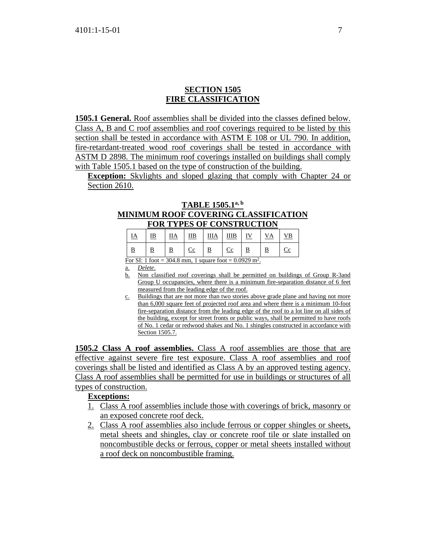#### **SECTION 1505 FIRE CLASSIFICATION**

**1505.1 General.** Roof assemblies shall be divided into the classes defined below. Class A, B and C roof assemblies and roof coverings required to be listed by this section shall be tested in accordance with ASTM E 108 or UL 790. In addition, fire-retardant-treated wood roof coverings shall be tested in accordance with ASTM D 2898. The minimum roof coverings installed on buildings shall comply with Table 1505.1 based on the type of construction of the building.

**Exception:** Skylights and sloped glazing that comply with Chapter 24 or Section 2610.

#### **TABLE 1505.1a, b MINIMUM ROOF COVERING CLASSIFICATION FOR TYPES OF CONSTRUCTION**

|           | FUN I ITES UF CUNSINUCTIUN |            |                            |    |           |  |    |    |
|-----------|----------------------------|------------|----------------------------|----|-----------|--|----|----|
| <u>ia</u> | <u>IB</u>                  | <u>IIA</u> | IІB                        | ШA | ШB        |  | vд | ΝB |
|           |                            |            | $\mathop{\rm Cc}\nolimits$ |    | <u>Cc</u> |  |    |    |

For SI: 1 foot =  $304.8$  mm, 1 square foot =  $0.0929$  m<sup>2</sup>.

a. *Delete*.

- b. Non classified roof coverings shall be permitted on buildings of Group R-3and Group U occupancies, where there is a minimum fire-separation distance of 6 feet measured from the leading edge of the roof.
- c. Buildings that are not more than two stories above grade plane and having not more than 6,000 square feet of projected roof area and where there is a minimum 10-foot fire-separation distance from the leading edge of the roof to a lot line on all sides of the building, except for street fronts or public ways, shall be permitted to have roofs of No. 1 cedar or redwood shakes and No. 1 shingles constructed in accordance with Section 1505.7.

**1505.2 Class A roof assemblies.** Class A roof assemblies are those that are effective against severe fire test exposure. Class A roof assemblies and roof coverings shall be listed and identified as Class A by an approved testing agency. Class A roof assemblies shall be permitted for use in buildings or structures of all types of construction.

#### **Exceptions:**

- 1. Class A roof assemblies include those with coverings of brick, masonry or an exposed concrete roof deck.
- 2. Class A roof assemblies also include ferrous or copper shingles or sheets, metal sheets and shingles, clay or concrete roof tile or slate installed on noncombustible decks or ferrous, copper or metal sheets installed without a roof deck on noncombustible framing.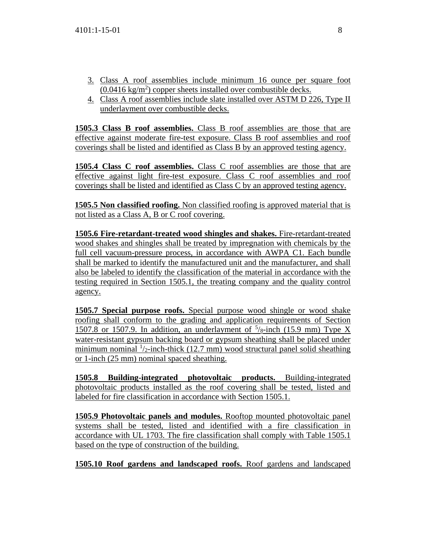- 3. Class A roof assemblies include minimum 16 ounce per square foot  $(0.0416 \text{ kg/m}^2)$  copper sheets installed over combustible decks.
- 4. Class A roof assemblies include slate installed over ASTM D 226, Type II underlayment over combustible decks.

**1505.3 Class B roof assemblies.** Class B roof assemblies are those that are effective against moderate fire-test exposure. Class B roof assemblies and roof coverings shall be listed and identified as Class B by an approved testing agency.

**1505.4 Class C roof assemblies.** Class C roof assemblies are those that are effective against light fire-test exposure. Class C roof assemblies and roof coverings shall be listed and identified as Class C by an approved testing agency.

**1505.5 Non classified roofing.** Non classified roofing is approved material that is not listed as a Class A, B or C roof covering.

**1505.6 Fire-retardant-treated wood shingles and shakes.** Fire-retardant-treated wood shakes and shingles shall be treated by impregnation with chemicals by the full cell vacuum-pressure process, in accordance with AWPA C1. Each bundle shall be marked to identify the manufactured unit and the manufacturer, and shall also be labeled to identify the classification of the material in accordance with the testing required in Section 1505.1, the treating company and the quality control agency.

**1505.7 Special purpose roofs.** Special purpose wood shingle or wood shake roofing shall conform to the grading and application requirements of Section 1507.8 or 1507.9. In addition, an underlayment of  $\frac{5}{8}$ -inch (15.9 mm) Type X water-resistant gypsum backing board or gypsum sheathing shall be placed under minimum nominal  $\frac{1}{2}$ -inch-thick (12.7 mm) wood structural panel solid sheathing or 1-inch (25 mm) nominal spaced sheathing.

**1505.8 Building-integrated photovoltaic products.** Building-integrated photovoltaic products installed as the roof covering shall be tested, listed and labeled for fire classification in accordance with Section 1505.1.

**1505.9 Photovoltaic panels and modules.** Rooftop mounted photovoltaic panel systems shall be tested, listed and identified with a fire classification in accordance with UL 1703. The fire classification shall comply with Table 1505.1 based on the type of construction of the building.

**1505.10 Roof gardens and landscaped roofs.** Roof gardens and landscaped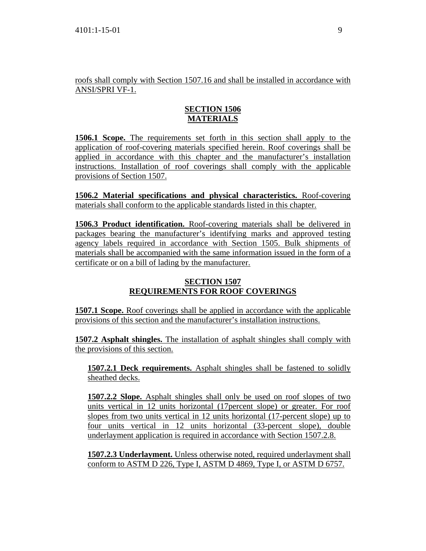roofs shall comply with Section 1507.16 and shall be installed in accordance with ANSI/SPRI VF-1.

# **SECTION 1506 MATERIALS**

**1506.1 Scope.** The requirements set forth in this section shall apply to the application of roof-covering materials specified herein. Roof coverings shall be applied in accordance with this chapter and the manufacturer's installation instructions. Installation of roof coverings shall comply with the applicable provisions of Section 1507.

**1506.2 Material specifications and physical characteristics.** Roof-covering materials shall conform to the applicable standards listed in this chapter.

**1506.3 Product identification.** Roof-covering materials shall be delivered in packages bearing the manufacturer's identifying marks and approved testing agency labels required in accordance with Section 1505. Bulk shipments of materials shall be accompanied with the same information issued in the form of a certificate or on a bill of lading by the manufacturer.

# **SECTION 1507 REQUIREMENTS FOR ROOF COVERINGS**

**1507.1 Scope.** Roof coverings shall be applied in accordance with the applicable provisions of this section and the manufacturer's installation instructions.

**1507.2 Asphalt shingles.** The installation of asphalt shingles shall comply with the provisions of this section.

**1507.2.1 Deck requirements.** Asphalt shingles shall be fastened to solidly sheathed decks.

**1507.2.2 Slope.** Asphalt shingles shall only be used on roof slopes of two units vertical in 12 units horizontal (17percent slope) or greater. For roof slopes from two units vertical in 12 units horizontal (17-percent slope) up to four units vertical in 12 units horizontal (33-percent slope), double underlayment application is required in accordance with Section 1507.2.8.

**1507.2.3 Underlayment.** Unless otherwise noted, required underlayment shall conform to ASTM D 226, Type I, ASTM D 4869, Type I, or ASTM D 6757.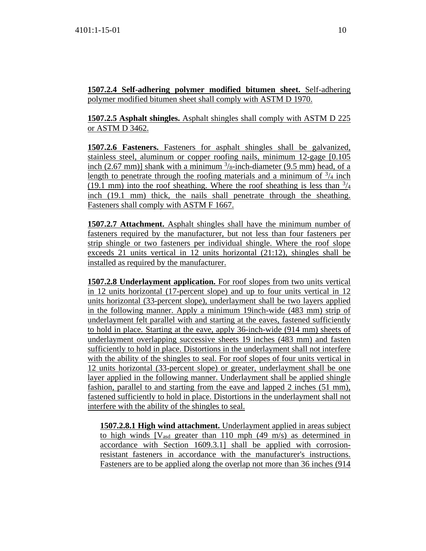**1507.2.4 Self-adhering polymer modified bitumen sheet.** Self-adhering polymer modified bitumen sheet shall comply with ASTM D 1970.

**1507.2.5 Asphalt shingles.** Asphalt shingles shall comply with ASTM D 225 or ASTM D 3462.

**1507.2.6 Fasteners.** Fasteners for asphalt shingles shall be galvanized, stainless steel, aluminum or copper roofing nails, minimum 12-gage [0.105 inch  $(2.67 \text{ mm})$ ] shank with a minimum  $\frac{3}{8}$ -inch-diameter  $(9.5 \text{ mm})$  head, of a length to penetrate through the roofing materials and a minimum of  $\frac{3}{4}$  inch (19.1 mm) into the roof sheathing. Where the roof sheathing is less than  $\frac{3}{4}$ inch (19.1 mm) thick, the nails shall penetrate through the sheathing. Fasteners shall comply with ASTM F 1667.

**1507.2.7 Attachment.** Asphalt shingles shall have the minimum number of fasteners required by the manufacturer, but not less than four fasteners per strip shingle or two fasteners per individual shingle. Where the roof slope exceeds 21 units vertical in 12 units horizontal (21:12), shingles shall be installed as required by the manufacturer.

**1507.2.8 Underlayment application.** For roof slopes from two units vertical in 12 units horizontal (17-percent slope) and up to four units vertical in 12 units horizontal (33-percent slope), underlayment shall be two layers applied in the following manner. Apply a minimum 19inch-wide (483 mm) strip of underlayment felt parallel with and starting at the eaves, fastened sufficiently to hold in place. Starting at the eave, apply 36-inch-wide (914 mm) sheets of underlayment overlapping successive sheets 19 inches (483 mm) and fasten sufficiently to hold in place. Distortions in the underlayment shall not interfere with the ability of the shingles to seal. For roof slopes of four units vertical in 12 units horizontal (33-percent slope) or greater, underlayment shall be one layer applied in the following manner. Underlayment shall be applied shingle fashion, parallel to and starting from the eave and lapped 2 inches (51 mm), fastened sufficiently to hold in place. Distortions in the underlayment shall not interfere with the ability of the shingles to seal.

**1507.2.8.1 High wind attachment.** Underlayment applied in areas subject to high winds  $[V_{\text{asd}}]$  greater than 110 mph (49 m/s) as determined in accordance with Section 1609.3.1] shall be applied with corrosionresistant fasteners in accordance with the manufacturer's instructions. Fasteners are to be applied along the overlap not more than 36 inches (914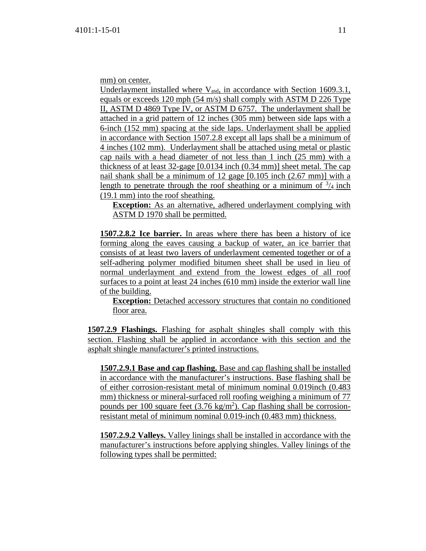mm) on center.

Underlayment installed where  $V_{\text{asd}}$ , in accordance with Section 1609.3.1, equals or exceeds 120 mph (54 m/s) shall comply with ASTM D 226 Type II, ASTM D 4869 Type IV, or ASTM D 6757. The underlayment shall be attached in a grid pattern of 12 inches (305 mm) between side laps with a 6-inch (152 mm) spacing at the side laps. Underlayment shall be applied in accordance with Section 1507.2.8 except all laps shall be a minimum of 4 inches (102 mm). Underlayment shall be attached using metal or plastic cap nails with a head diameter of not less than 1 inch (25 mm) with a thickness of at least 32-gage [0.0134 inch (0.34 mm)] sheet metal. The cap nail shank shall be a minimum of 12 gage [0.105 inch (2.67 mm)] with a length to penetrate through the roof sheathing or a minimum of  $\frac{3}{4}$  inch (19.1 mm) into the roof sheathing.

**Exception:** As an alternative, adhered underlayment complying with ASTM D 1970 shall be permitted.

**1507.2.8.2 Ice barrier.** In areas where there has been a history of ice forming along the eaves causing a backup of water, an ice barrier that consists of at least two layers of underlayment cemented together or of a self-adhering polymer modified bitumen sheet shall be used in lieu of normal underlayment and extend from the lowest edges of all roof surfaces to a point at least 24 inches (610 mm) inside the exterior wall line of the building.

**Exception:** Detached accessory structures that contain no conditioned floor area.

**1507.2.9 Flashings.** Flashing for asphalt shingles shall comply with this section. Flashing shall be applied in accordance with this section and the asphalt shingle manufacturer's printed instructions.

**1507.2.9.1 Base and cap flashing.** Base and cap flashing shall be installed in accordance with the manufacturer's instructions. Base flashing shall be of either corrosion-resistant metal of minimum nominal 0.019inch (0.483 mm) thickness or mineral-surfaced roll roofing weighing a minimum of 77 pounds per 100 square feet (3.76 kg/m<sup>2</sup>). Cap flashing shall be corrosionresistant metal of minimum nominal 0.019-inch (0.483 mm) thickness.

**1507.2.9.2 Valleys.** Valley linings shall be installed in accordance with the manufacturer's instructions before applying shingles. Valley linings of the following types shall be permitted: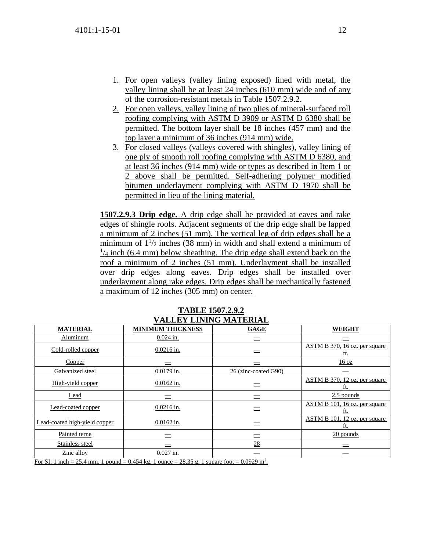- 1. For open valleys (valley lining exposed) lined with metal, the valley lining shall be at least 24 inches (610 mm) wide and of any of the corrosion-resistant metals in Table 1507.2.9.2.
- 2. For open valleys, valley lining of two plies of mineral-surfaced roll roofing complying with ASTM D 3909 or ASTM D 6380 shall be permitted. The bottom layer shall be 18 inches (457 mm) and the top layer a minimum of 36 inches (914 mm) wide.
- 3. For closed valleys (valleys covered with shingles), valley lining of one ply of smooth roll roofing complying with ASTM D 6380, and at least 36 inches (914 mm) wide or types as described in Item 1 or 2 above shall be permitted. Self-adhering polymer modified bitumen underlayment complying with ASTM D 1970 shall be permitted in lieu of the lining material.

**1507.2.9.3 Drip edge.** A drip edge shall be provided at eaves and rake edges of shingle roofs. Adjacent segments of the drip edge shall be lapped a minimum of 2 inches (51 mm). The vertical leg of drip edges shall be a minimum of  $1\frac{1}{2}$  inches (38 mm) in width and shall extend a minimum of  $\frac{1}{4}$  inch (6.4 mm) below sheathing. The drip edge shall extend back on the roof a minimum of 2 inches (51 mm). Underlayment shall be installed over drip edges along eaves. Drip edges shall be installed over underlayment along rake edges. Drip edges shall be mechanically fastened a maximum of 12 inches (305 mm) on center.

| <b>MATERIAL</b>                                                                                          | <b>MINIMUM THICKNESS</b> | <b>GAGE</b>          | <b>WEIGHT</b>                        |
|----------------------------------------------------------------------------------------------------------|--------------------------|----------------------|--------------------------------------|
| Aluminum                                                                                                 | $0.024$ in.              |                      |                                      |
| Cold-rolled copper                                                                                       | $0.0216$ in.             |                      | ASTM B 370, 16 oz. per square<br>ft. |
| Copper                                                                                                   |                          |                      | 16 oz                                |
| Galvanized steel                                                                                         | $0.0179$ in.             | 26 (zinc-coated G90) |                                      |
| High-yield copper                                                                                        | $0.0162$ in.             |                      | ASTM B 370, 12 oz. per square<br>ft. |
| Lead                                                                                                     |                          |                      | 2.5 pounds                           |
| Lead-coated copper                                                                                       | $0.0216$ in.             |                      | ASTM B 101, 16 oz. per square<br>ft. |
| Lead-coated high-yield copper                                                                            | $0.0162$ in.             |                      | ASTM B 101, 12 oz. per square<br>ft. |
| Painted terne                                                                                            |                          |                      | 20 pounds                            |
| Stainless steel                                                                                          |                          | 28                   |                                      |
| Zinc alloy                                                                                               | $0.027$ in.              |                      |                                      |
| For SI: 1 inch = 25.4 mm, 1 pound = 0.454 kg, 1 ounce = 28.35 g, 1 square foot = 0.0929 m <sup>2</sup> . |                          |                      |                                      |

**TABLE 1507.2.9.2 VALLEY LINING MATERIAL**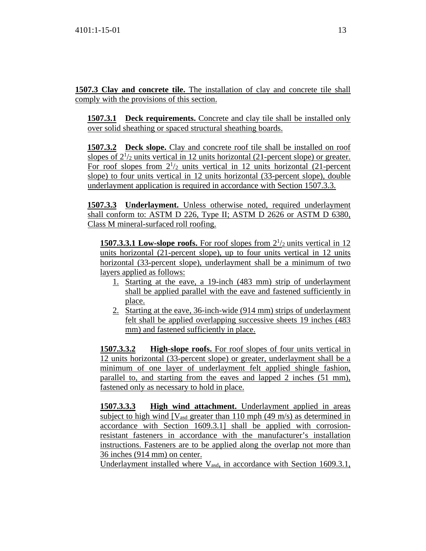**1507.3 Clay and concrete tile.** The installation of clay and concrete tile shall comply with the provisions of this section.

**1507.3.1 Deck requirements.** Concrete and clay tile shall be installed only over solid sheathing or spaced structural sheathing boards.

**1507.3.2 Deck slope.** Clay and concrete roof tile shall be installed on roof slopes of  $2^{1/2}$  units vertical in 12 units horizontal (21-percent slope) or greater. For roof slopes from  $2^{1/2}$  units vertical in 12 units horizontal (21-percent slope) to four units vertical in 12 units horizontal (33-percent slope), double underlayment application is required in accordance with Section 1507.3.3.

**1507.3.3 Underlayment.** Unless otherwise noted, required underlayment shall conform to: ASTM D 226, Type II; ASTM D 2626 or ASTM D 6380, Class M mineral-surfaced roll roofing.

**1507.3.3.1 Low-slope roofs.** For roof slopes from  $2^{1/2}$  units vertical in 12 units horizontal (21-percent slope), up to four units vertical in 12 units horizontal (33-percent slope), underlayment shall be a minimum of two layers applied as follows:

- 1. Starting at the eave, a 19-inch (483 mm) strip of underlayment shall be applied parallel with the eave and fastened sufficiently in place.
- 2. Starting at the eave, 36-inch-wide (914 mm) strips of underlayment felt shall be applied overlapping successive sheets 19 inches (483 mm) and fastened sufficiently in place.

**1507.3.3.2 High-slope roofs.** For roof slopes of four units vertical in 12 units horizontal (33-percent slope) or greater, underlayment shall be a minimum of one layer of underlayment felt applied shingle fashion, parallel to, and starting from the eaves and lapped 2 inches (51 mm), fastened only as necessary to hold in place.

**1507.3.3.3 High wind attachment.** Underlayment applied in areas subject to high wind  $[V_{\text{asd}}]$  greater than 110 mph (49 m/s) as determined in accordance with Section 1609.3.1] shall be applied with corrosionresistant fasteners in accordance with the manufacturer's installation instructions. Fasteners are to be applied along the overlap not more than 36 inches (914 mm) on center.

Underlayment installed where  $V_{\text{asd}}$ , in accordance with Section 1609.3.1,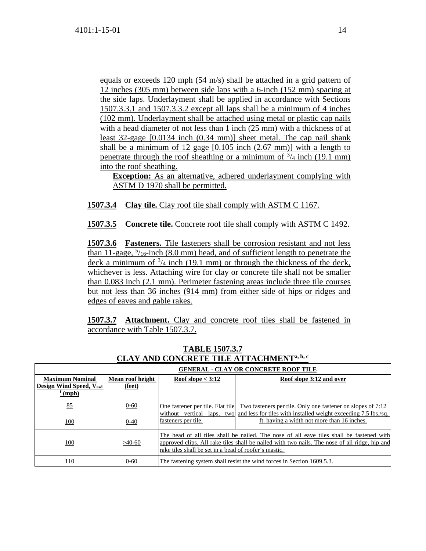equals or exceeds 120 mph (54 m/s) shall be attached in a grid pattern of 12 inches (305 mm) between side laps with a 6-inch (152 mm) spacing at the side laps. Underlayment shall be applied in accordance with Sections 1507.3.3.1 and 1507.3.3.2 except all laps shall be a minimum of 4 inches (102 mm). Underlayment shall be attached using metal or plastic cap nails with a head diameter of not less than 1 inch (25 mm) with a thickness of at least 32-gage [0.0134 inch (0.34 mm)] sheet metal. The cap nail shank shall be a minimum of 12 gage [0.105 inch (2.67 mm)] with a length to penetrate through the roof sheathing or a minimum of  $\frac{3}{4}$  inch (19.1 mm) into the roof sheathing.

**Exception:** As an alternative, adhered underlayment complying with ASTM D 1970 shall be permitted.

**1507.3.4 Clay tile.** Clay roof tile shall comply with ASTM C 1167.

**1507.3.5 Concrete tile.** Concrete roof tile shall comply with ASTM C 1492.

**1507.3.6 Fasteners.** Tile fasteners shall be corrosion resistant and not less than 11-gage,  $\frac{5}{16}$ -inch (8.0 mm) head, and of sufficient length to penetrate the deck a minimum of  $\frac{3}{4}$  inch (19.1 mm) or through the thickness of the deck, whichever is less. Attaching wire for clay or concrete tile shall not be smaller than 0.083 inch (2.1 mm). Perimeter fastening areas include three tile courses but not less than 36 inches (914 mm) from either side of hips or ridges and edges of eaves and gable rakes.

**1507.3.7 Attachment.** Clay and concrete roof tiles shall be fastened in accordance with Table 1507.3.7.

|                                                                                | <b>GENERAL - CLAY OR CONCRETE ROOF TILE</b> |                                                                        |                                                                                                                                                                                                     |  |  |  |
|--------------------------------------------------------------------------------|---------------------------------------------|------------------------------------------------------------------------|-----------------------------------------------------------------------------------------------------------------------------------------------------------------------------------------------------|--|--|--|
| <b>Maximum Nominal</b><br><b>Design Wind Speed, Vasd</b><br>$\frac{f(mph)}{h}$ | Mean roof height<br>(feet)                  | Roof slope $<$ 3:12                                                    | Roof slope 3:12 and over                                                                                                                                                                            |  |  |  |
| 85                                                                             | $0 - 60$                                    |                                                                        | <u>One fastener per tile. Flat tile Two fasteners per tile. Only one fastener on slopes of 7:12</u><br>without vertical laps, two and less for tiles with installed weight exceeding $7.5$ lbs./sq. |  |  |  |
| 100                                                                            | $0 - 40$                                    | fasteners per tile.                                                    | ft. having a width not more than 16 inches.                                                                                                                                                         |  |  |  |
| 100                                                                            | $>40-60$                                    | rake tiles shall be set in a bead of roofer's mastic.                  | The head of all tiles shall be nailed. The nose of all eave tiles shall be fastened with<br>approved clips. All rake tiles shall be nailed with two nails. The nose of all ridge, hip and           |  |  |  |
| 110                                                                            | $0 - 60$                                    | The fastening system shall resist the wind forces in Section 1609.5.3. |                                                                                                                                                                                                     |  |  |  |

**TABLE 1507.3.7 CLAY AND CONCRETE TILE ATTACHMENTa, b, c**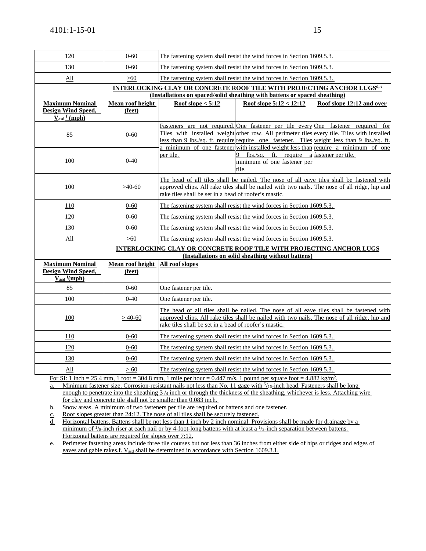| 120                                                  | $0 - 60$                                                                                                                                                     | The fastening system shall resist the wind forces in Section 1609.5.3.                                                                                                                                                                             |                                                                                                                                                                               |                                                                                                                                                                                          |  |  |  |
|------------------------------------------------------|--------------------------------------------------------------------------------------------------------------------------------------------------------------|----------------------------------------------------------------------------------------------------------------------------------------------------------------------------------------------------------------------------------------------------|-------------------------------------------------------------------------------------------------------------------------------------------------------------------------------|------------------------------------------------------------------------------------------------------------------------------------------------------------------------------------------|--|--|--|
| 130                                                  | $0 - 60$                                                                                                                                                     | The fastening system shall resist the wind forces in Section 1609.5.3.                                                                                                                                                                             |                                                                                                                                                                               |                                                                                                                                                                                          |  |  |  |
| All                                                  | >60                                                                                                                                                          |                                                                                                                                                                                                                                                    | The fastening system shall resist the wind forces in Section 1609.5.3.                                                                                                        |                                                                                                                                                                                          |  |  |  |
|                                                      | <b>INTERLOCKING CLAY OR CONCRETE ROOF TILE WITH PROJECTING ANCHOR LUGSd, e</b><br>(Installations on spaced/solid sheathing with battens or spaced sheathing) |                                                                                                                                                                                                                                                    |                                                                                                                                                                               |                                                                                                                                                                                          |  |  |  |
| <b>Maximum Nominal</b>                               | Mean roof height                                                                                                                                             | Roof slope $< 5:12$                                                                                                                                                                                                                                | Roof slope $5:12 < 12:12$                                                                                                                                                     | Roof slope 12:12 and over                                                                                                                                                                |  |  |  |
| Design Wind Speed,                                   | (feet)                                                                                                                                                       |                                                                                                                                                                                                                                                    |                                                                                                                                                                               |                                                                                                                                                                                          |  |  |  |
| $V_{\text{asd}}$ <sup>f</sup> (mph)                  |                                                                                                                                                              |                                                                                                                                                                                                                                                    |                                                                                                                                                                               |                                                                                                                                                                                          |  |  |  |
| 85                                                   | $0 - 60$                                                                                                                                                     |                                                                                                                                                                                                                                                    | Fasteners are not required. One fastener per tile every One fastener required<br>less than 9 lbs./sq. ft. require require one fastener. Tiles weight less than 9 lbs./sq. ft. | for<br>Tiles with installed weight other row. All perimeter tiles every tile. Tiles with installed<br>a minimum of one fastener with installed weight less than require a minimum of one |  |  |  |
| 100                                                  | 0-40                                                                                                                                                         | per tile.                                                                                                                                                                                                                                          | 9 lbs./sq. ft. require a fastener per tile.<br>minimum of one fastener per<br>tile.                                                                                           |                                                                                                                                                                                          |  |  |  |
| 100                                                  | $>40-60$                                                                                                                                                     | The head of all tiles shall be nailed. The nose of all eave tiles shall be fastened with<br>approved clips. All rake tiles shall be nailed with two nails. The nose of all ridge, hip and<br>rake tiles shall be set in a bead of roofer's mastic. |                                                                                                                                                                               |                                                                                                                                                                                          |  |  |  |
| 110                                                  | $0 - 60$                                                                                                                                                     |                                                                                                                                                                                                                                                    | The fastening system shall resist the wind forces in Section 1609.5.3.                                                                                                        |                                                                                                                                                                                          |  |  |  |
| 120                                                  | $0 - 60$                                                                                                                                                     |                                                                                                                                                                                                                                                    | The fastening system shall resist the wind forces in Section 1609.5.3.                                                                                                        |                                                                                                                                                                                          |  |  |  |
| 130                                                  | $0 - 60$                                                                                                                                                     |                                                                                                                                                                                                                                                    | The fastening system shall resist the wind forces in Section 1609.5.3.                                                                                                        |                                                                                                                                                                                          |  |  |  |
| All                                                  | >60                                                                                                                                                          |                                                                                                                                                                                                                                                    | The fastening system shall resist the wind forces in Section 1609.5.3.                                                                                                        |                                                                                                                                                                                          |  |  |  |
|                                                      |                                                                                                                                                              |                                                                                                                                                                                                                                                    | <b>INTERLOCKING CLAY OR CONCRETE ROOF TILE WITH PROJECTING ANCHOR LUGS</b><br>(Installations on solid sheathing without battens)                                              |                                                                                                                                                                                          |  |  |  |
| <b>Maximum Nominal</b>                               | Mean roof height                                                                                                                                             | All roof slopes                                                                                                                                                                                                                                    |                                                                                                                                                                               |                                                                                                                                                                                          |  |  |  |
| <b>Design Wind Speed,</b><br>$V_{\text{asd}}$ f(mph) | (feet)                                                                                                                                                       |                                                                                                                                                                                                                                                    |                                                                                                                                                                               |                                                                                                                                                                                          |  |  |  |
| 85                                                   | $0 - 60$                                                                                                                                                     | One fastener per tile.                                                                                                                                                                                                                             |                                                                                                                                                                               |                                                                                                                                                                                          |  |  |  |
| 100                                                  | 0-40                                                                                                                                                         | One fastener per tile.                                                                                                                                                                                                                             |                                                                                                                                                                               |                                                                                                                                                                                          |  |  |  |
| 100                                                  | $>40-60$                                                                                                                                                     | The head of all tiles shall be nailed. The nose of all eave tiles shall be fastened with<br>approved clips. All rake tiles shall be nailed with two nails. The nose of all ridge, hip and<br>rake tiles shall be set in a bead of roofer's mastic. |                                                                                                                                                                               |                                                                                                                                                                                          |  |  |  |
| 110                                                  | $0 - 60$                                                                                                                                                     | The fastening system shall resist the wind forces in Section 1609.5.3.                                                                                                                                                                             |                                                                                                                                                                               |                                                                                                                                                                                          |  |  |  |
| 120                                                  | $0 - 60$                                                                                                                                                     | The fastening system shall resist the wind forces in Section 1609.5.3.                                                                                                                                                                             |                                                                                                                                                                               |                                                                                                                                                                                          |  |  |  |
| 130                                                  | $0 - 60$                                                                                                                                                     | The fastening system shall resist the wind forces in Section 1609.5.3.                                                                                                                                                                             |                                                                                                                                                                               |                                                                                                                                                                                          |  |  |  |
| <u>All</u>                                           | > 60                                                                                                                                                         |                                                                                                                                                                                                                                                    | The fastening system shall resist the wind forces in Section 1609.5.3.                                                                                                        |                                                                                                                                                                                          |  |  |  |

For SI: 1 inch = 25.4 mm, 1 foot = 304.8 mm, 1 mile per hour =  $0.447$  m/s, 1 pound per square foot =  $4.882$  kg/m<sup>2</sup>.

a. Minimum fastener size. Corrosion-resistant nails not less than No. 11 gage with  $\frac{5}{16}$ -inch head. Fasteners shall be long enough to penetrate into the sheathing  $3/a$  inch or through the thickness of the sheathing, whichever is less. Attaching wire for clay and concrete tile shall not be smaller than 0.083 inch.

b. Snow areas. A minimum of two fasteners per tile are required or battens and one fastener.

c. Roof slopes greater than 24:12. The nose of all tiles shall be securely fastened.

d. Horizontal battens. Battens shall be not less than 1 inch by 2 inch nominal. Provisions shall be made for drainage by a minimum of  $\frac{1}{s}$ -inch riser at each nail or by 4-foot-long battens with at least a  $\frac{1}{2}$ -inch separation between battens. Horizontal battens are required for slopes over 7:12.

e. Perimeter fastening areas include three tile courses but not less than 36 inches from either side of hips or ridges and edges of eaves and gable rakes.f. V<sub>asd</sub> shall be determined in accordance with Section 1609.3.1.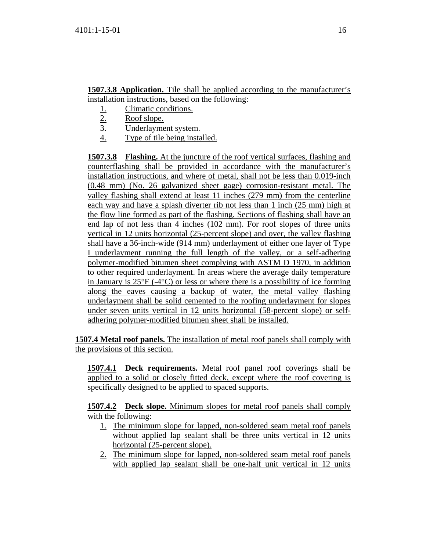**1507.3.8 Application.** Tile shall be applied according to the manufacturer's installation instructions, based on the following:

- 1. Climatic conditions.<br>2. Roof slope.
- Roof slope.
- 3. Underlayment system.
- 4. Type of tile being installed.

**1507.3.8 Flashing.** At the juncture of the roof vertical surfaces, flashing and counterflashing shall be provided in accordance with the manufacturer's installation instructions, and where of metal, shall not be less than 0.019-inch (0.48 mm) (No. 26 galvanized sheet gage) corrosion-resistant metal. The valley flashing shall extend at least 11 inches (279 mm) from the centerline each way and have a splash diverter rib not less than 1 inch (25 mm) high at the flow line formed as part of the flashing. Sections of flashing shall have an end lap of not less than 4 inches (102 mm). For roof slopes of three units vertical in 12 units horizontal (25-percent slope) and over, the valley flashing shall have a 36-inch-wide (914 mm) underlayment of either one layer of Type I underlayment running the full length of the valley, or a self-adhering polymer-modified bitumen sheet complying with ASTM D 1970, in addition to other required underlayment. In areas where the average daily temperature in January is 25°F (-4°C) or less or where there is a possibility of ice forming along the eaves causing a backup of water, the metal valley flashing underlayment shall be solid cemented to the roofing underlayment for slopes under seven units vertical in 12 units horizontal (58-percent slope) or selfadhering polymer-modified bitumen sheet shall be installed.

**1507.4 Metal roof panels.** The installation of metal roof panels shall comply with the provisions of this section.

**1507.4.1 Deck requirements.** Metal roof panel roof coverings shall be applied to a solid or closely fitted deck, except where the roof covering is specifically designed to be applied to spaced supports.

**1507.4.2 Deck slope.** Minimum slopes for metal roof panels shall comply with the following:

- 1. The minimum slope for lapped, non-soldered seam metal roof panels without applied lap sealant shall be three units vertical in 12 units horizontal (25-percent slope).
- 2. The minimum slope for lapped, non-soldered seam metal roof panels with applied lap sealant shall be one-half unit vertical in 12 units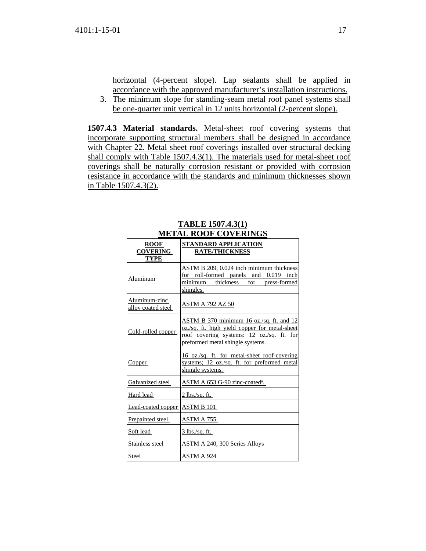horizontal (4-percent slope). Lap sealants shall be applied in accordance with the approved manufacturer's installation instructions.

3. The minimum slope for standing-seam metal roof panel systems shall be one-quarter unit vertical in 12 units horizontal (2-percent slope).

**1507.4.3 Material standards.** Metal-sheet roof covering systems that incorporate supporting structural members shall be designed in accordance with Chapter 22. Metal sheet roof coverings installed over structural decking shall comply with Table 1507.4.3(1). The materials used for metal-sheet roof coverings shall be naturally corrosion resistant or provided with corrosion resistance in accordance with the standards and minimum thicknesses shown in Table 1507.4.3(2).

| <b>ROOF</b><br><b>COVERING</b><br><b>TYPE</b> | STANDARD APPLICATION<br><b>RATE/THICKNESS</b>                                                                                                                              |
|-----------------------------------------------|----------------------------------------------------------------------------------------------------------------------------------------------------------------------------|
| Aluminum                                      | <b>ASTM B 209, 0.024 inch minimum thickness</b><br>for roll-formed panels and<br>$0.019$ inch<br>minimum thickness for press-formed<br>shingles.                           |
| Aluminum-zinc<br>alloy coated steel           | <b>ASTM A 792 AZ 50</b>                                                                                                                                                    |
| Cold-rolled copper                            | ASTM B 370 minimum 16 oz./sq. ft. and 12<br>oz./sq. ft. high yield copper for metal-sheet<br>roof covering systems: 12 oz./sq. ft. for<br>preformed metal shingle systems. |
| Copper                                        | 16 oz./sq. ft. for metal-sheet roof-covering<br>systems; 12 oz./sq. ft. for preformed metal<br>shingle systems.                                                            |
| Galvanized steel                              | <u>ASTM A 653 G-90 zinc-coated<sup>a</sup>.</u>                                                                                                                            |
| Hard lead                                     | <u>2 lbs./sq. ft.</u>                                                                                                                                                      |
| Lead-coated copper                            | ASTM B 101                                                                                                                                                                 |
| Prepainted steel                              | <u>ASTM A 755</u>                                                                                                                                                          |
| Soft lead                                     | <u>3 lbs./sq. ft.</u>                                                                                                                                                      |
| Stainless steel                               | ASTM A 240, 300 Series Alloys                                                                                                                                              |
| Steel                                         | ASTM A 924                                                                                                                                                                 |

# **TABLE 1507.4.3(1) METAL ROOF COVERINGS**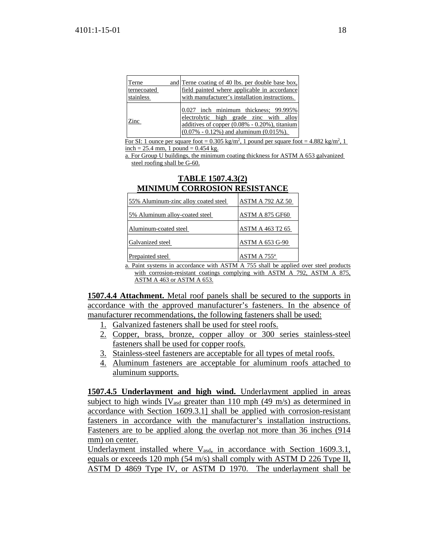| Terne       | and Terne coating of 40 lbs. per double base box,                                                                                                                                       |
|-------------|-----------------------------------------------------------------------------------------------------------------------------------------------------------------------------------------|
| ternecoated | field painted where applicable in accordance                                                                                                                                            |
| stainless   | with manufacturer's installation instructions.                                                                                                                                          |
| Zinc        | $0.027$ inch minimum thickness; $99.995\%$<br>electrolytic high grade zinc with alloy<br>additives of copper (0.08% - 0.20%), titanium<br>$(0.07\% - 0.12\%)$ and aluminum $(0.015\%).$ |

For SI: 1 ounce per square foot =  $0.305 \text{ kg/m}^2$ , 1 pound per square foot =  $4.882 \text{ kg/m}^2$ , 1 inch = 25.4 mm, 1 pound =  $0.454$  kg.

a. For Group U buildings, the minimum coating thickness for ASTM A 653 galvanized steel roofing shall be G-60.

| MINIMUM CONNOCHON NEGICIANCE                                                                                                                                                                                                         |                         |
|--------------------------------------------------------------------------------------------------------------------------------------------------------------------------------------------------------------------------------------|-------------------------|
| 55% Aluminum-zinc alloy coated steel                                                                                                                                                                                                 | <b>ASTM A 792 AZ 50</b> |
| 5% Aluminum alloy-coated steel                                                                                                                                                                                                       | <b>ASTM A 875 GF60</b>  |
| Aluminum-coated steel                                                                                                                                                                                                                | ASTM A 463 T2 65        |
| Galvanized steel                                                                                                                                                                                                                     | <b>ASTM A 653 G-90</b>  |
| Prepainted steel                                                                                                                                                                                                                     | ASTM A 755 <sup>a</sup> |
| <b>The first contract of the contract of the contract of the contract of the contract of the contract of the contract of the contract of the contract of the contract of the contract of the contract of the contract of the con</b> |                         |

#### **TABLE 1507.4.3(2) MINIMUM CORROSION RESISTANCE**

a. Paint systems in accordance with ASTM A 755 shall be applied over steel products with corrosion-resistant coatings complying with ASTM A 792, ASTM A 875, ASTM A 463 or ASTM A 653.

**1507.4.4 Attachment.** Metal roof panels shall be secured to the supports in accordance with the approved manufacturer's fasteners. In the absence of manufacturer recommendations, the following fasteners shall be used:

- 1. Galvanized fasteners shall be used for steel roofs.
- 2. Copper, brass, bronze, copper alloy or 300 series stainless-steel fasteners shall be used for copper roofs.
- 3. Stainless-steel fasteners are acceptable for all types of metal roofs.
- 4. Aluminum fasteners are acceptable for aluminum roofs attached to aluminum supports.

**1507.4.5 Underlayment and high wind.** Underlayment applied in areas subject to high winds  $[V_{\text{asd}}]$  greater than 110 mph (49 m/s) as determined in accordance with Section 1609.3.1] shall be applied with corrosion-resistant fasteners in accordance with the manufacturer's installation instructions. Fasteners are to be applied along the overlap not more than 36 inches (914 mm) on center.

Underlayment installed where  $V_{\text{asd}}$ , in accordance with Section 1609.3.1, equals or exceeds 120 mph (54 m/s) shall comply with ASTM D 226 Type II, ASTM D 4869 Type IV, or ASTM D 1970. The underlayment shall be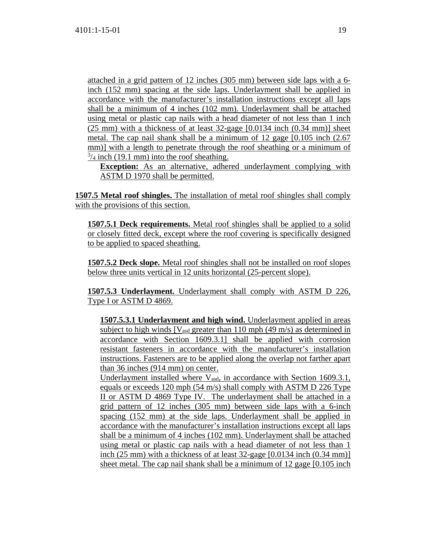attached in a grid pattern of 12 inches (305 mm) between side laps with a 6 inch (152 mm) spacing at the side laps. Underlayment shall be applied in accordance with the manufacturer's installation instructions except all laps shall be a minimum of 4 inches (102 mm). Underlayment shall be attached using metal or plastic cap nails with a head diameter of not less than 1 inch (25 mm) with a thickness of at least 32-gage [0.0134 inch (0.34 mm)] sheet metal. The cap nail shank shall be a minimum of 12 gage [0.105 inch (2.67 mm)] with a length to penetrate through the roof sheathing or a minimum of  $\frac{3}{4}$  inch (19.1 mm) into the roof sheathing.

**Exception:** As an alternative, adhered underlayment complying with ASTM D 1970 shall be permitted.

**1507.5 Metal roof shingles.** The installation of metal roof shingles shall comply with the provisions of this section.

**1507.5.1 Deck requirements.** Metal roof shingles shall be applied to a solid or closely fitted deck, except where the roof covering is specifically designed to be applied to spaced sheathing.

**1507.5.2 Deck slope.** Metal roof shingles shall not be installed on roof slopes below three units vertical in 12 units horizontal (25-percent slope).

**1507.5.3 Underlayment.** Underlayment shall comply with ASTM D 226, Type I or ASTM D 4869.

**1507.5.3.1 Underlayment and high wind.** Underlayment applied in areas subject to high winds  $[V<sub>asd</sub> greater than 110 mph (49 m/s) as determined in]$ accordance with Section 1609.3.1] shall be applied with corrosion resistant fasteners in accordance with the manufacturer's installation instructions. Fasteners are to be applied along the overlap not farther apart than 36 inches (914 mm) on center.

Underlayment installed where  $V_{\text{asd}}$ , in accordance with Section 1609.3.1, equals or exceeds 120 mph (54 m/s) shall comply with ASTM D 226 Type II or ASTM D 4869 Type IV. The underlayment shall be attached in a grid pattern of 12 inches (305 mm) between side laps with a 6-inch spacing (152 mm) at the side laps. Underlayment shall be applied in accordance with the manufacturer's installation instructions except all laps shall be a minimum of 4 inches (102 mm). Underlayment shall be attached using metal or plastic cap nails with a head diameter of not less than 1 inch (25 mm) with a thickness of at least 32-gage [0.0134 inch (0.34 mm)] sheet metal. The cap nail shank shall be a minimum of 12 gage [0.105 inch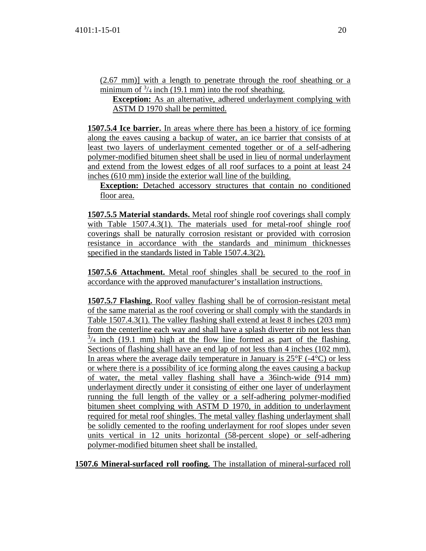(2.67 mm)] with a length to penetrate through the roof sheathing or a minimum of  $\frac{3}{4}$  inch (19.1 mm) into the roof sheathing.

**Exception:** As an alternative, adhered underlayment complying with ASTM D 1970 shall be permitted.

**1507.5.4 Ice barrier.** In areas where there has been a history of ice forming along the eaves causing a backup of water, an ice barrier that consists of at least two layers of underlayment cemented together or of a self-adhering polymer-modified bitumen sheet shall be used in lieu of normal underlayment and extend from the lowest edges of all roof surfaces to a point at least 24 inches (610 mm) inside the exterior wall line of the building.

**Exception:** Detached accessory structures that contain no conditioned floor area.

**1507.5.5 Material standards.** Metal roof shingle roof coverings shall comply with Table 1507.4.3(1). The materials used for metal-roof shingle roof coverings shall be naturally corrosion resistant or provided with corrosion resistance in accordance with the standards and minimum thicknesses specified in the standards listed in Table 1507.4.3(2).

**1507.5.6 Attachment.** Metal roof shingles shall be secured to the roof in accordance with the approved manufacturer's installation instructions.

**1507.5.7 Flashing.** Roof valley flashing shall be of corrosion-resistant metal of the same material as the roof covering or shall comply with the standards in Table 1507.4.3(1). The valley flashing shall extend at least 8 inches (203 mm) from the centerline each way and shall have a splash diverter rib not less than  $\frac{3}{4}$  inch (19.1 mm) high at the flow line formed as part of the flashing. Sections of flashing shall have an end lap of not less than 4 inches (102 mm). In areas where the average daily temperature in January is  $25^{\circ}F(-4^{\circ}C)$  or less or where there is a possibility of ice forming along the eaves causing a backup of water, the metal valley flashing shall have a 36inch-wide (914 mm) underlayment directly under it consisting of either one layer of underlayment running the full length of the valley or a self-adhering polymer-modified bitumen sheet complying with ASTM D 1970, in addition to underlayment required for metal roof shingles. The metal valley flashing underlayment shall be solidly cemented to the roofing underlayment for roof slopes under seven units vertical in 12 units horizontal (58-percent slope) or self-adhering polymer-modified bitumen sheet shall be installed.

**1507.6 Mineral-surfaced roll roofing.** The installation of mineral-surfaced roll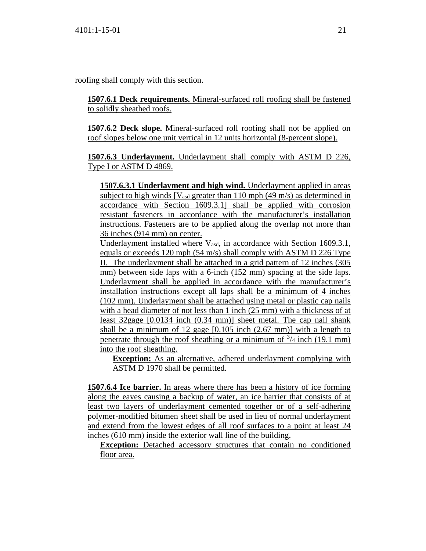roofing shall comply with this section.

**1507.6.1 Deck requirements.** Mineral-surfaced roll roofing shall be fastened to solidly sheathed roofs.

**1507.6.2 Deck slope.** Mineral-surfaced roll roofing shall not be applied on roof slopes below one unit vertical in 12 units horizontal (8-percent slope).

**1507.6.3 Underlayment.** Underlayment shall comply with ASTM D 226, Type I or ASTM D 4869.

**1507.6.3.1 Underlayment and high wind.** Underlayment applied in areas subject to high winds  $[V_{\text{asd}}]$  greater than 110 mph (49 m/s) as determined in accordance with Section 1609.3.1] shall be applied with corrosion resistant fasteners in accordance with the manufacturer's installation instructions. Fasteners are to be applied along the overlap not more than 36 inches (914 mm) on center.

Underlayment installed where V<sub>asd</sub>, in accordance with Section 1609.3.1, equals or exceeds 120 mph (54 m/s) shall comply with ASTM D 226 Type II. The underlayment shall be attached in a grid pattern of 12 inches (305 mm) between side laps with a 6-inch (152 mm) spacing at the side laps. Underlayment shall be applied in accordance with the manufacturer's installation instructions except all laps shall be a minimum of 4 inches (102 mm). Underlayment shall be attached using metal or plastic cap nails with a head diameter of not less than 1 inch (25 mm) with a thickness of at least 32gage [0.0134 inch (0.34 mm)] sheet metal. The cap nail shank shall be a minimum of 12 gage [0.105 inch (2.67 mm)] with a length to penetrate through the roof sheathing or a minimum of  $\frac{3}{4}$  inch (19.1 mm) into the roof sheathing.

**Exception:** As an alternative, adhered underlayment complying with ASTM D 1970 shall be permitted.

**1507.6.4 Ice barrier.** In areas where there has been a history of ice forming along the eaves causing a backup of water, an ice barrier that consists of at least two layers of underlayment cemented together or of a self-adhering polymer-modified bitumen sheet shall be used in lieu of normal underlayment and extend from the lowest edges of all roof surfaces to a point at least 24 inches (610 mm) inside the exterior wall line of the building.

**Exception:** Detached accessory structures that contain no conditioned floor area.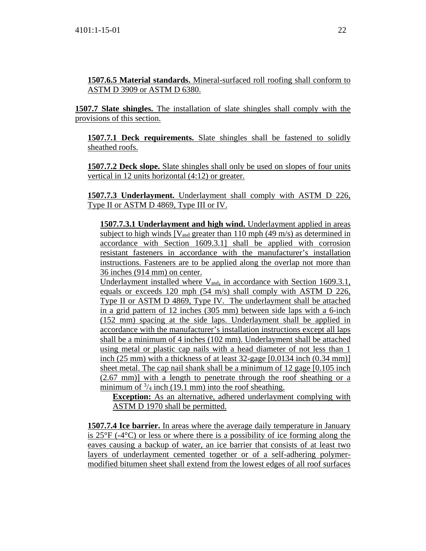**1507.6.5 Material standards.** Mineral-surfaced roll roofing shall conform to ASTM D 3909 or ASTM D 6380.

**1507.7 Slate shingles.** The installation of slate shingles shall comply with the provisions of this section.

**1507.7.1 Deck requirements.** Slate shingles shall be fastened to solidly sheathed roofs.

**1507.7.2 Deck slope.** Slate shingles shall only be used on slopes of four units vertical in 12 units horizontal (4:12) or greater.

**1507.7.3 Underlayment.** Underlayment shall comply with ASTM D 226, Type II or ASTM D 4869, Type III or IV.

**1507.7.3.1 Underlayment and high wind.** Underlayment applied in areas subject to high winds  $[V_{\text{asd}}]$  greater than 110 mph (49 m/s) as determined in accordance with Section 1609.3.1] shall be applied with corrosion resistant fasteners in accordance with the manufacturer's installation instructions. Fasteners are to be applied along the overlap not more than 36 inches (914 mm) on center.

Underlayment installed where  $V_{\text{asd}}$ , in accordance with Section 1609.3.1, equals or exceeds 120 mph (54 m/s) shall comply with ASTM D 226, Type II or ASTM D 4869, Type IV. The underlayment shall be attached in a grid pattern of 12 inches (305 mm) between side laps with a 6-inch (152 mm) spacing at the side laps. Underlayment shall be applied in accordance with the manufacturer's installation instructions except all laps shall be a minimum of 4 inches (102 mm). Underlayment shall be attached using metal or plastic cap nails with a head diameter of not less than 1 inch (25 mm) with a thickness of at least 32-gage [0.0134 inch (0.34 mm)] sheet metal. The cap nail shank shall be a minimum of 12 gage [0.105 inch (2.67 mm)] with a length to penetrate through the roof sheathing or a minimum of  $\frac{3}{4}$  inch (19.1 mm) into the roof sheathing.

**Exception:** As an alternative, adhered underlayment complying with ASTM D 1970 shall be permitted.

**1507.7.4 Ice barrier.** In areas where the average daily temperature in January is 25°F (-4°C) or less or where there is a possibility of ice forming along the eaves causing a backup of water, an ice barrier that consists of at least two layers of underlayment cemented together or of a self-adhering polymermodified bitumen sheet shall extend from the lowest edges of all roof surfaces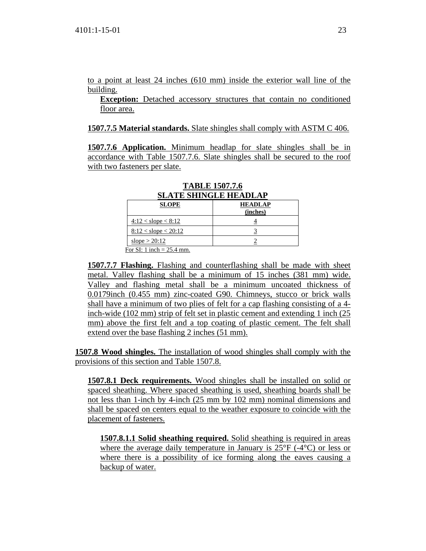to a point at least 24 inches (610 mm) inside the exterior wall line of the building.

**Exception:** Detached accessory structures that contain no conditioned floor area.

#### **1507.7.5 Material standards.** Slate shingles shall comply with ASTM C 406.

**1507.7.6 Application.** Minimum headlap for slate shingles shall be in accordance with Table 1507.7.6. Slate shingles shall be secured to the roof with two fasteners per slate.

| <b>SLATE SHINGLE HEADLAP</b> |                            |  |  |  |
|------------------------------|----------------------------|--|--|--|
| <b>SLOPE</b>                 | <b>HEADLAP</b><br>(inches) |  |  |  |
| $4:12 <$ slope $< 8:12$      |                            |  |  |  |
| $8:12 <$ slope $< 20:12$     |                            |  |  |  |
| slope $> 20:12$              |                            |  |  |  |
| For SI: 1 inch = $25.4$ mm.  |                            |  |  |  |

**TABLE 1507.7.6**

**1507.7.7 Flashing.** Flashing and counterflashing shall be made with sheet metal. Valley flashing shall be a minimum of 15 inches (381 mm) wide. Valley and flashing metal shall be a minimum uncoated thickness of 0.0179inch (0.455 mm) zinc-coated G90. Chimneys, stucco or brick walls shall have a minimum of two plies of felt for a cap flashing consisting of a 4 inch-wide (102 mm) strip of felt set in plastic cement and extending 1 inch (25 mm) above the first felt and a top coating of plastic cement. The felt shall extend over the base flashing 2 inches (51 mm).

**1507.8 Wood shingles.** The installation of wood shingles shall comply with the provisions of this section and Table 1507.8.

**1507.8.1 Deck requirements.** Wood shingles shall be installed on solid or spaced sheathing. Where spaced sheathing is used, sheathing boards shall be not less than 1-inch by 4-inch (25 mm by 102 mm) nominal dimensions and shall be spaced on centers equal to the weather exposure to coincide with the placement of fasteners.

**1507.8.1.1 Solid sheathing required.** Solid sheathing is required in areas where the average daily temperature in January is 25°F (-4°C) or less or where there is a possibility of ice forming along the eaves causing a backup of water.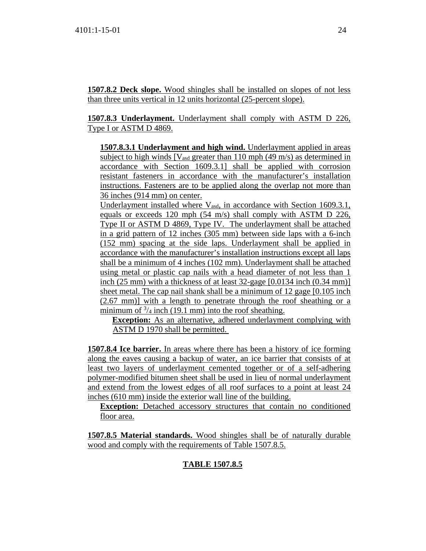**1507.8.2 Deck slope.** Wood shingles shall be installed on slopes of not less than three units vertical in 12 units horizontal (25-percent slope).

**1507.8.3 Underlayment.** Underlayment shall comply with ASTM D 226, Type I or ASTM D 4869.

**1507.8.3.1 Underlayment and high wind.** Underlayment applied in areas subject to high winds  $[V_{\text{asd}}]$  greater than 110 mph (49 m/s) as determined in accordance with Section 1609.3.1] shall be applied with corrosion resistant fasteners in accordance with the manufacturer's installation instructions. Fasteners are to be applied along the overlap not more than 36 inches (914 mm) on center.

Underlayment installed where V<sub>asd</sub>, in accordance with Section 1609.3.1, equals or exceeds 120 mph (54 m/s) shall comply with ASTM D 226, Type II or ASTM D 4869, Type IV. The underlayment shall be attached in a grid pattern of 12 inches (305 mm) between side laps with a 6-inch (152 mm) spacing at the side laps. Underlayment shall be applied in accordance with the manufacturer's installation instructions except all laps shall be a minimum of 4 inches (102 mm). Underlayment shall be attached using metal or plastic cap nails with a head diameter of not less than 1 inch (25 mm) with a thickness of at least 32-gage [0.0134 inch (0.34 mm)] sheet metal. The cap nail shank shall be a minimum of 12 gage [0.105 inch (2.67 mm)] with a length to penetrate through the roof sheathing or a minimum of  $\frac{3}{4}$  inch (19.1 mm) into the roof sheathing.

**Exception:** As an alternative, adhered underlayment complying with ASTM D 1970 shall be permitted.

**1507.8.4 Ice barrier.** In areas where there has been a history of ice forming along the eaves causing a backup of water, an ice barrier that consists of at least two layers of underlayment cemented together or of a self-adhering polymer-modified bitumen sheet shall be used in lieu of normal underlayment and extend from the lowest edges of all roof surfaces to a point at least 24 inches (610 mm) inside the exterior wall line of the building.

**Exception:** Detached accessory structures that contain no conditioned floor area.

**1507.8.5 Material standards.** Wood shingles shall be of naturally durable wood and comply with the requirements of Table 1507.8.5.

# **TABLE 1507.8.5**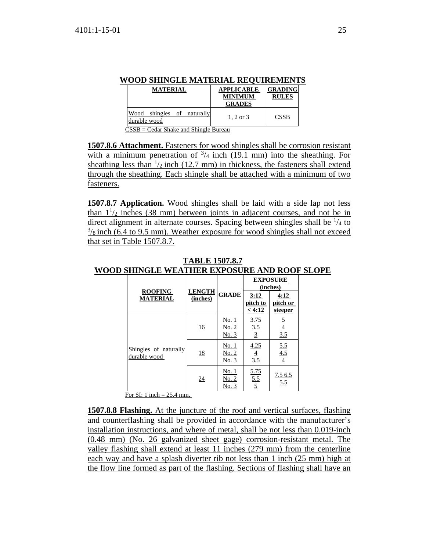| WOOD SHINGLE MATERIAL REOUIREMENTS                                                                |                                                      |                                |
|---------------------------------------------------------------------------------------------------|------------------------------------------------------|--------------------------------|
| <b>MATERIAL</b>                                                                                   | <b>APPLICABLE</b><br><b>MINIMUM</b><br><b>GRADES</b> | <b>GRADING</b><br><b>RULES</b> |
| Wood shingles of naturally<br>durable wood<br>$\sim$ $\sim$ $\sim$<br>$\sim$ $\sim$ $\sim$ $\sim$ | 1, 2 or $3$                                          | <b>CSSB</b>                    |

 $CSSB = Cedar *Shake and Shingle Bureau*$ </u>

**1507.8.6 Attachment.** Fasteners for wood shingles shall be corrosion resistant with a minimum penetration of  $\frac{3}{4}$  inch (19.1 mm) into the sheathing. For sheathing less than  $\frac{1}{2}$  inch (12.7 mm) in thickness, the fasteners shall extend through the sheathing. Each shingle shall be attached with a minimum of two fasteners.

**1507.8.7 Application.** Wood shingles shall be laid with a side lap not less than  $1\frac{1}{2}$  inches (38 mm) between joints in adjacent courses, and not be in direct alignment in alternate courses. Spacing between shingles shall be  $\frac{1}{4}$  to  $\frac{3}{8}$  inch (6.4 to 9.5 mm). Weather exposure for wood shingles shall not exceed that set in Table 1507.8.7.

|                                       |                           | <b>GRADE</b>                          | <b>EXPOSURE</b><br>(inches) |                             |
|---------------------------------------|---------------------------|---------------------------------------|-----------------------------|-----------------------------|
| <b>ROOFING</b><br><b>MATERIAL</b>     | <b>LENGTH</b><br>(inches) |                                       | 3:12<br>pitch to<br>< 4:12  | 4:12<br>pitch or<br>steeper |
| Shingles of naturally<br>durable wood | 16                        | <u>No. 1</u><br><u>No. 2</u><br>No. 3 | $\frac{3.75}{3.5}$          | $rac{5}{\frac{4}{3.5}}$     |
|                                       | <u>18</u>                 | <u>No. 1</u><br>No. 2<br>No. 3        | 4.25<br>$\frac{4}{3.5}$     | $\frac{5.5}{4.5}$           |
|                                       | <u>24</u>                 | <u>No. 1</u><br>No. 2<br>No. 3        | 5.75<br>$\frac{5.5}{5}$     | 7.56.5<br>5.5               |

**TABLE 1507.8.7 WOOD SHINGLE WEATHER EXPOSURE AND ROOF SLOPE**

For SI: 1 inch =  $25.4$  mm.

**1507.8.8 Flashing.** At the juncture of the roof and vertical surfaces, flashing and counterflashing shall be provided in accordance with the manufacturer's installation instructions, and where of metal, shall be not less than 0.019-inch (0.48 mm) (No. 26 galvanized sheet gage) corrosion-resistant metal. The valley flashing shall extend at least 11 inches (279 mm) from the centerline each way and have a splash diverter rib not less than 1 inch (25 mm) high at the flow line formed as part of the flashing. Sections of flashing shall have an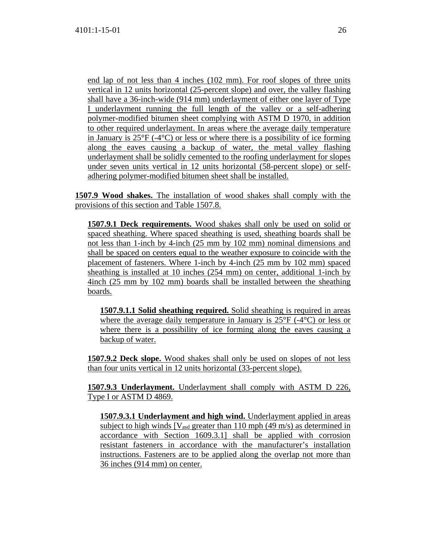end lap of not less than 4 inches (102 mm). For roof slopes of three units vertical in 12 units horizontal (25-percent slope) and over, the valley flashing shall have a 36-inch-wide (914 mm) underlayment of either one layer of Type I underlayment running the full length of the valley or a self-adhering polymer-modified bitumen sheet complying with ASTM D 1970, in addition to other required underlayment. In areas where the average daily temperature in January is  $25^{\circ}F$  (-4 $^{\circ}C$ ) or less or where there is a possibility of ice forming along the eaves causing a backup of water, the metal valley flashing underlayment shall be solidly cemented to the roofing underlayment for slopes under seven units vertical in 12 units horizontal (58-percent slope) or selfadhering polymer-modified bitumen sheet shall be installed.

**1507.9 Wood shakes.** The installation of wood shakes shall comply with the provisions of this section and Table 1507.8.

**1507.9.1 Deck requirements.** Wood shakes shall only be used on solid or spaced sheathing. Where spaced sheathing is used, sheathing boards shall be not less than 1-inch by 4-inch (25 mm by 102 mm) nominal dimensions and shall be spaced on centers equal to the weather exposure to coincide with the placement of fasteners. Where 1-inch by 4-inch (25 mm by 102 mm) spaced sheathing is installed at 10 inches (254 mm) on center, additional 1-inch by 4inch (25 mm by 102 mm) boards shall be installed between the sheathing boards.

**1507.9.1.1 Solid sheathing required.** Solid sheathing is required in areas where the average daily temperature in January is 25°F (-4°C) or less or where there is a possibility of ice forming along the eaves causing a backup of water.

**1507.9.2 Deck slope.** Wood shakes shall only be used on slopes of not less than four units vertical in 12 units horizontal (33-percent slope).

**1507.9.3 Underlayment.** Underlayment shall comply with ASTM D 226, Type I or ASTM D 4869.

**1507.9.3.1 Underlayment and high wind.** Underlayment applied in areas subject to high winds  $[V<sub>asd</sub> greater than 110 mph (49 m/s) as determined in]$ accordance with Section 1609.3.1] shall be applied with corrosion resistant fasteners in accordance with the manufacturer's installation instructions. Fasteners are to be applied along the overlap not more than 36 inches (914 mm) on center.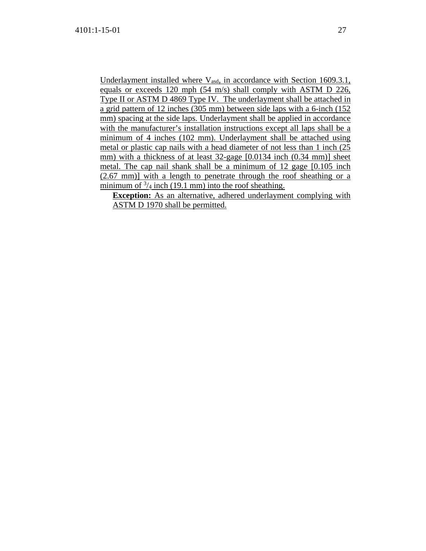Underlayment installed where V<sub>asd</sub>, in accordance with Section 1609.3.1, equals or exceeds 120 mph (54 m/s) shall comply with ASTM D 226, Type II or ASTM D 4869 Type IV. The underlayment shall be attached in a grid pattern of 12 inches (305 mm) between side laps with a 6-inch (152 mm) spacing at the side laps. Underlayment shall be applied in accordance with the manufacturer's installation instructions except all laps shall be a minimum of 4 inches (102 mm). Underlayment shall be attached using metal or plastic cap nails with a head diameter of not less than 1 inch (25 mm) with a thickness of at least 32-gage [0.0134 inch (0.34 mm)] sheet metal. The cap nail shank shall be a minimum of 12 gage [0.105 inch (2.67 mm)] with a length to penetrate through the roof sheathing or a minimum of  $\frac{3}{4}$  inch (19.1 mm) into the roof sheathing.

**Exception:** As an alternative, adhered underlayment complying with ASTM D 1970 shall be permitted.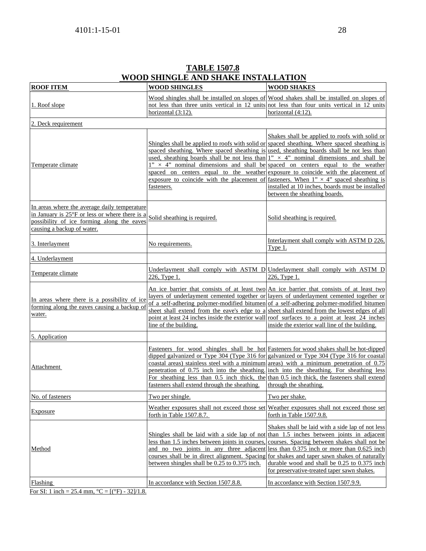| <b>ROOF ITEM</b>                                                                                                                                                           | <b>WOOD SHINGLES</b>                                                                                                                                                                                                                                                                                  | <b>WOOD SHAKES</b>                                                                                                                                                                                                                                                                                                                                                                                                                   |
|----------------------------------------------------------------------------------------------------------------------------------------------------------------------------|-------------------------------------------------------------------------------------------------------------------------------------------------------------------------------------------------------------------------------------------------------------------------------------------------------|--------------------------------------------------------------------------------------------------------------------------------------------------------------------------------------------------------------------------------------------------------------------------------------------------------------------------------------------------------------------------------------------------------------------------------------|
| 1. Roof slope                                                                                                                                                              | not less than three units vertical in 12 units<br>horizontal (3:12).                                                                                                                                                                                                                                  | Wood shingles shall be installed on slopes of Wood shakes shall be installed on slopes of<br>not less than four units vertical in 12 units<br>horizontal (4:12).                                                                                                                                                                                                                                                                     |
| 2. Deck requirement                                                                                                                                                        |                                                                                                                                                                                                                                                                                                       |                                                                                                                                                                                                                                                                                                                                                                                                                                      |
| Temperate climate                                                                                                                                                          | Shingles shall be applied to roofs with solid or spaced sheathing. Where spaced sheathing is<br>used, sheathing boards shall be not less than<br>$1" \times 4"$ nominal dimensions and shall be<br>spaced on centers equal to the weather<br>exposure to coincide with the placement of<br>fasteners. | Shakes shall be applied to roofs with solid or<br>spaced sheathing. Where spaced sheathing is used, sheathing boards shall be not less than<br>$1'' \times 4''$ nominal dimensions and shall be<br>spaced on centers equal to the weather<br>exposure to coincide with the placement of<br>fasteners. When $1'' \times 4''$ spaced sheathing is<br>installed at 10 inches, boards must be installed<br>between the sheathing boards. |
| In areas where the average daily temperature<br>in January is 25°F or less or where there is a<br>possibility of ice forming along the eaves<br>causing a backup of water. | Solid sheathing is required.                                                                                                                                                                                                                                                                          | Solid sheathing is required.                                                                                                                                                                                                                                                                                                                                                                                                         |
| 3. Interlayment                                                                                                                                                            | No requirements.                                                                                                                                                                                                                                                                                      | Interlayment shall comply with ASTM D 226,<br>Type 1.                                                                                                                                                                                                                                                                                                                                                                                |
| 4. Underlayment                                                                                                                                                            |                                                                                                                                                                                                                                                                                                       |                                                                                                                                                                                                                                                                                                                                                                                                                                      |
| Temperate climate                                                                                                                                                          | 226, Type 1.                                                                                                                                                                                                                                                                                          | Underlayment shall comply with ASTM D Underlayment shall comply with ASTM D<br>226, Type 1.                                                                                                                                                                                                                                                                                                                                          |
| In areas where there is a possibility of ice<br>forming along the eaves causing a backup of<br>water.                                                                      | sheet shall extend from the eave's edge to a sheet shall extend from the lowest edges of all<br>line of the building.                                                                                                                                                                                 | An ice barrier that consists of at least two An ice barrier that consists of at least two<br>layers of underlayment cemented together or layers of underlayment cemented together or<br>of a self-adhering polymer-modified bitumen of a self-adhering polymer-modified bitumen<br>point at least 24 inches inside the exterior wall roof surfaces to a point at least 24 inches<br>inside the exterior wall line of the building.   |
| 5. Application                                                                                                                                                             |                                                                                                                                                                                                                                                                                                       |                                                                                                                                                                                                                                                                                                                                                                                                                                      |
| Attachment                                                                                                                                                                 | dipped galvanized or Type 304 (Type 316 for<br>coastal areas) stainless steel with a minimum<br>penetration of 0.75 inch into the sheathing.<br>For sheathing less than 0.5 inch thick, the<br>fasteners shall extend through the sheathing.                                                          | Fasteners for wood shingles shall be hot Fasteners for wood shakes shall be hot-dipped<br>galvanized or Type 304 (Type 316 for coastal<br>areas) with a minimum penetration of 0.75<br>inch into the sheathing. For sheathing less<br>than 0.5 inch thick, the fasteners shall extend<br>through the sheathing.                                                                                                                      |
| No. of fasteners                                                                                                                                                           | Two per shingle.                                                                                                                                                                                                                                                                                      | Two per shake.                                                                                                                                                                                                                                                                                                                                                                                                                       |
| Exposure                                                                                                                                                                   | Weather exposures shall not exceed those set<br>forth in Table 1507.8.7.                                                                                                                                                                                                                              | Weather exposures shall not exceed those set<br>forth in Table 1507.9.8.                                                                                                                                                                                                                                                                                                                                                             |
| Method                                                                                                                                                                     | Shingles shall be laid with a side lap of not<br>less than 1.5 inches between joints in courses<br>and no two joints in any three adjacent<br>courses shall be in direct alignment. Spacing<br>between shingles shall be 0.25 to 0.375 inch.                                                          | Shakes shall be laid with a side lap of not less<br>than 1.5 inches between joints in adjacent<br>courses. Spacing between shakes shall not be<br>less than 0.375 inch or more than 0.625 inch<br>for shakes and taper sawn shakes of naturally<br>durable wood and shall be 0.25 to 0.375 inch<br>for preservative-treated taper sawn shakes.                                                                                       |
| Flashing                                                                                                                                                                   | In accordance with Section 1507.8.8.                                                                                                                                                                                                                                                                  | In accordance with Section 1507.9.9.                                                                                                                                                                                                                                                                                                                                                                                                 |

For SI: 1 inch = 25.4 mm,  $^{\circ}C = [(^{\circ}F) - 32]/1.8$ .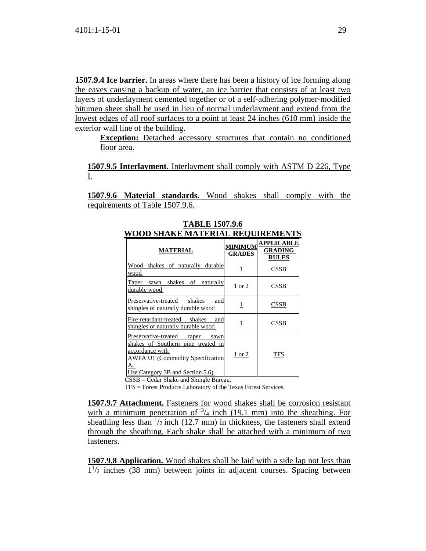**1507.9.4 Ice barrier.** In areas where there has been a history of ice forming along the eaves causing a backup of water, an ice barrier that consists of at least two layers of underlayment cemented together or of a self-adhering polymer-modified bitumen sheet shall be used in lieu of normal underlayment and extend from the lowest edges of all roof surfaces to a point at least 24 inches (610 mm) inside the exterior wall line of the building.

**Exception:** Detached accessory structures that contain no conditioned floor area.

**1507.9.5 Interlayment.** Interlayment shall comply with ASTM D 226, Type I.

**1507.9.6 Material standards.** Wood shakes shall comply with the requirements of Table 1507.9.6.

| <b>MATERIAL</b>                                                                                                                                                                                                                 | <b>MINIMUM</b><br><b>GRADES</b> | <b>APPLICABLE</b><br><b>GRADING</b><br><b>RULES</b> |
|---------------------------------------------------------------------------------------------------------------------------------------------------------------------------------------------------------------------------------|---------------------------------|-----------------------------------------------------|
| Wood<br>shakes of naturally durable<br>wood                                                                                                                                                                                     | 1                               | CSSB                                                |
| shakes of naturally<br>Taper<br>sawn<br>durable wood                                                                                                                                                                            | <u>1 or 2</u>                   | CSSB                                                |
| Preservative-treated<br>shakes<br>and<br>shingles of naturally durable wood                                                                                                                                                     | 1                               | CSSB                                                |
| Fire-retardant-treated<br>shakes<br>and<br>shingles of naturally durable wood                                                                                                                                                   | 1                               | CSSB                                                |
| Preservative-treated<br>taper<br>sawn<br>shakes of Southern pine treated in<br>accordance with<br><b>AWPA U1 (Commodity Specification</b><br>A.<br>Use Category 3B and Section 5.6)<br>$CSSB = Cedar Shake$ and Shingle Bureau. | $1$ or $2$                      | TFS                                                 |

**TABLE 1507.9.6 WOOD SHAKE MATERIAL REQUIREMENTS**

TFS = Forest Products Laboratory of the Texas Forest Services.

**1507.9.7 Attachment.** Fasteners for wood shakes shall be corrosion resistant with a minimum penetration of  $\frac{3}{4}$  inch (19.1 mm) into the sheathing. For sheathing less than  $\frac{1}{2}$  inch (12.7 mm) in thickness, the fasteners shall extend through the sheathing. Each shake shall be attached with a minimum of two fasteners.

**1507.9.8 Application.** Wood shakes shall be laid with a side lap not less than  $1\frac{1}{2}$  inches (38 mm) between joints in adjacent courses. Spacing between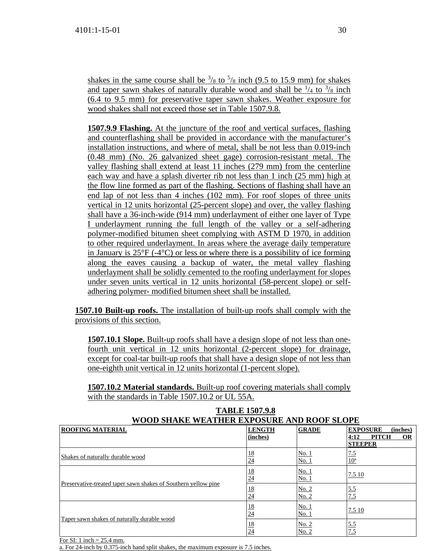shakes in the same course shall be  $\frac{3}{8}$  to  $\frac{5}{8}$  inch (9.5 to 15.9 mm) for shakes and taper sawn shakes of naturally durable wood and shall be  $\frac{1}{4}$  to  $\frac{3}{8}$  inch (6.4 to 9.5 mm) for preservative taper sawn shakes. Weather exposure for wood shakes shall not exceed those set in Table 1507.9.8.

**1507.9.9 Flashing.** At the juncture of the roof and vertical surfaces, flashing and counterflashing shall be provided in accordance with the manufacturer's installation instructions, and where of metal, shall be not less than 0.019-inch (0.48 mm) (No. 26 galvanized sheet gage) corrosion-resistant metal. The valley flashing shall extend at least 11 inches (279 mm) from the centerline each way and have a splash diverter rib not less than 1 inch (25 mm) high at the flow line formed as part of the flashing. Sections of flashing shall have an end lap of not less than 4 inches (102 mm). For roof slopes of three units vertical in 12 units horizontal (25-percent slope) and over, the valley flashing shall have a 36-inch-wide (914 mm) underlayment of either one layer of Type I underlayment running the full length of the valley or a self-adhering polymer-modified bitumen sheet complying with ASTM D 1970, in addition to other required underlayment. In areas where the average daily temperature in January is  $25^{\circ}F$  (-4 $^{\circ}C$ ) or less or where there is a possibility of ice forming along the eaves causing a backup of water, the metal valley flashing underlayment shall be solidly cemented to the roofing underlayment for slopes under seven units vertical in 12 units horizontal (58-percent slope) or selfadhering polymer- modified bitumen sheet shall be installed.

**1507.10 Built-up roofs.** The installation of built-up roofs shall comply with the provisions of this section.

**1507.10.1 Slope.** Built-up roofs shall have a design slope of not less than onefourth unit vertical in 12 units horizontal (2-percent slope) for drainage, except for coal-tar built-up roofs that shall have a design slope of not less than one-eighth unit vertical in 12 units horizontal (1-percent slope).

**1507.10.2 Material standards.** Built-up roof covering materials shall comply with the standards in Table 1507.10.2 or UL 55A.

| WOOD SHAKE WEATHER EXPOSURE AND ROOF SLOPE                     |                           |                |                                                                                    |
|----------------------------------------------------------------|---------------------------|----------------|------------------------------------------------------------------------------------|
| <b>ROOFING MATERIAL</b>                                        | <b>LENGTH</b><br>(inches) | <b>GRADE</b>   | <b>EXPOSURE</b><br>(inches)<br><b>PITCH</b><br><b>OR</b><br>4:12<br><b>STEEPER</b> |
| Shakes of naturally durable wood                               | $\frac{18}{24}$           | No. 1<br>No. 1 | $\frac{7.5}{10^a}$                                                                 |
| Preservative-treated taper sawn shakes of Southern yellow pine | $\frac{18}{24}$           | No. 1<br>No. 1 | 7.5 10                                                                             |
|                                                                | $\frac{18}{24}$           | No. 2<br>No. 2 |                                                                                    |
| Taper sawn shakes of naturally durable wood                    | $\frac{18}{24}$           | No. 1<br>No. 1 | 7.5 10                                                                             |
|                                                                | $\frac{18}{24}$           | No. 2<br>No. 2 | $\frac{5.5}{7.5}$                                                                  |

# **TABLE 1507.9.8**

For SI: 1 inch  $= 25.4$  mm.

a. For 24-inch by 0.375-inch hand split shakes, the maximum exposure is 7.5 inches.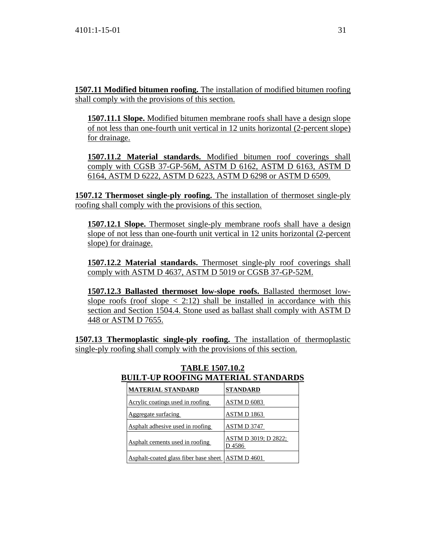**1507.11 Modified bitumen roofing.** The installation of modified bitumen roofing shall comply with the provisions of this section.

**1507.11.1 Slope.** Modified bitumen membrane roofs shall have a design slope of not less than one-fourth unit vertical in 12 units horizontal (2-percent slope) for drainage.

**1507.11.2 Material standards.** Modified bitumen roof coverings shall comply with CGSB 37-GP-56M, ASTM D 6162, ASTM D 6163, ASTM D 6164, ASTM D 6222, ASTM D 6223, ASTM D 6298 or ASTM D 6509.

**1507.12 Thermoset single-ply roofing.** The installation of thermoset single-ply roofing shall comply with the provisions of this section.

**1507.12.1 Slope.** Thermoset single-ply membrane roofs shall have a design slope of not less than one-fourth unit vertical in 12 units horizontal (2-percent slope) for drainage.

**1507.12.2 Material standards.** Thermoset single-ply roof coverings shall comply with ASTM D 4637, ASTM D 5019 or CGSB 37-GP-52M.

**1507.12.3 Ballasted thermoset low-slope roofs.** Ballasted thermoset lowslope roofs (roof slope  $\langle 2:12 \rangle$  shall be installed in accordance with this section and Section 1504.4. Stone used as ballast shall comply with ASTM D 448 or ASTM D 7655.

**1507.13 Thermoplastic single-ply roofing.** The installation of thermoplastic single-ply roofing shall comply with the provisions of this section.

| <b>MATERIAL STANDARD</b>              | <b>STANDARD</b>                       |
|---------------------------------------|---------------------------------------|
| Acrylic coatings used in roofing      | ASTM D 6083                           |
| Aggregate surfacing                   | ASTM D 1863                           |
| Asphalt adhesive used in roofing      | ASTM D 3747                           |
| Asphalt cements used in roofing       | <b>ASTM D 3019; D 2822;</b><br>D 4586 |
| Asphalt-coated glass fiber base sheet | ASTM D 4601                           |

# **TABLE 1507.10.2 BUILT-UP ROOFING MATERIAL STANDARDS**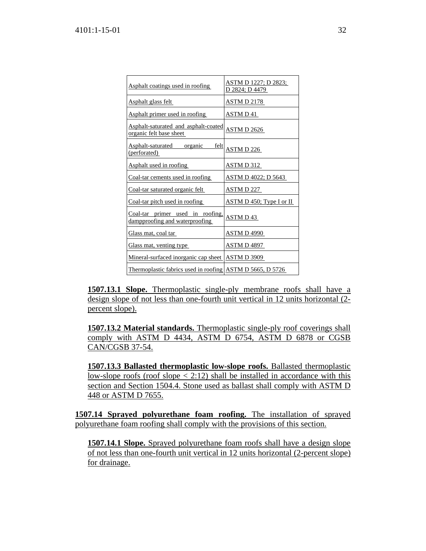| Asphalt coatings used in roofing                                       | <u>ASTM D 1227; D 2823;</u><br>D 2824; D 4479 |
|------------------------------------------------------------------------|-----------------------------------------------|
| Asphalt glass felt                                                     | <b>ASTM D 2178</b>                            |
| Asphalt primer used in roofing                                         | ASTM D 41                                     |
| <b>Asphalt-saturated and asphalt-coated</b><br>organic felt base sheet | <b>ASTM D 2626</b>                            |
| Asphalt-saturated<br>organic<br>felt<br>(perforated)                   | <b>ASTM D 226</b>                             |
| Asphalt used in roofing                                                | <u>ASTM D 312</u>                             |
| Coal-tar cements used in roofing                                       | ASTM D 4022; D 5643                           |
| Coal-tar saturated organic felt                                        | ASTM D 227                                    |
| Coal-tar pitch used in roofing                                         | $\overline{\text{ASTM D 450}}$ ; Type I or II |
| Coal-tar primer used in roofing.<br>dampproofing and waterproofing     | ASTM D43                                      |
| Glass mat, coal tar                                                    | ASTM D 4990                                   |
| Glass mat, venting type                                                | ASTM D 4897                                   |
| Mineral-surfaced inorganic cap sheet ASTM D 3909                       |                                               |
| Thermoplastic fabrics used in roofing ASTM D 5665, D 5726              |                                               |

**1507.13.1 Slope.** Thermoplastic single-ply membrane roofs shall have a design slope of not less than one-fourth unit vertical in 12 units horizontal (2 percent slope).

**1507.13.2 Material standards.** Thermoplastic single-ply roof coverings shall comply with ASTM D 4434, ASTM D 6754, ASTM D 6878 or CGSB CAN/CGSB 37-54.

**1507.13.3 Ballasted thermoplastic low-slope roofs.** Ballasted thermoplastic low-slope roofs (roof slope  $\langle 2:12 \rangle$  shall be installed in accordance with this section and Section 1504.4. Stone used as ballast shall comply with ASTM D 448 or ASTM D 7655.

**1507.14 Sprayed polyurethane foam roofing.** The installation of sprayed polyurethane foam roofing shall comply with the provisions of this section.

**1507.14.1 Slope.** Sprayed polyurethane foam roofs shall have a design slope of not less than one-fourth unit vertical in 12 units horizontal (2-percent slope) for drainage.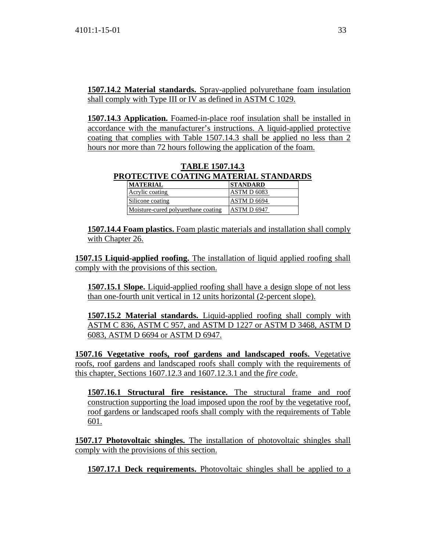**1507.14.2 Material standards.** Spray-applied polyurethane foam insulation shall comply with Type III or IV as defined in ASTM C 1029.

**1507.14.3 Application.** Foamed-in-place roof insulation shall be installed in accordance with the manufacturer's instructions. A liquid-applied protective coating that complies with Table 1507.14.3 shall be applied no less than 2 hours nor more than 72 hours following the application of the foam.

#### **TABLE 1507.14.3 PROTECTIVE COATING MATERIAL STANDARDS MATERIAL STANDARD**

| <b>MAILNIAL</b>                     | BIANDAND    |
|-------------------------------------|-------------|
| Acrylic coating                     | ASTM D 6083 |
| Silicone coating                    | ASTM D 6694 |
| Moisture-cured polyurethane coating | ASTM D 6947 |

**1507.14.4 Foam plastics.** Foam plastic materials and installation shall comply with Chapter 26.

**1507.15 Liquid-applied roofing.** The installation of liquid applied roofing shall comply with the provisions of this section.

**1507.15.1 Slope.** Liquid-applied roofing shall have a design slope of not less than one-fourth unit vertical in 12 units horizontal (2-percent slope).

**1507.15.2 Material standards.** Liquid-applied roofing shall comply with ASTM C 836, ASTM C 957, and ASTM D 1227 or ASTM D 3468, ASTM D 6083, ASTM D 6694 or ASTM D 6947.

**1507.16 Vegetative roofs, roof gardens and landscaped roofs.** Vegetative roofs, roof gardens and landscaped roofs shall comply with the requirements of this chapter, Sections 1607.12.3 and 1607.12.3.1 and the *fire code*.

**1507.16.1 Structural fire resistance.** The structural frame and roof construction supporting the load imposed upon the roof by the vegetative roof, roof gardens or landscaped roofs shall comply with the requirements of Table 601.

**1507.17 Photovoltaic shingles.** The installation of photovoltaic shingles shall comply with the provisions of this section.

**1507.17.1 Deck requirements.** Photovoltaic shingles shall be applied to a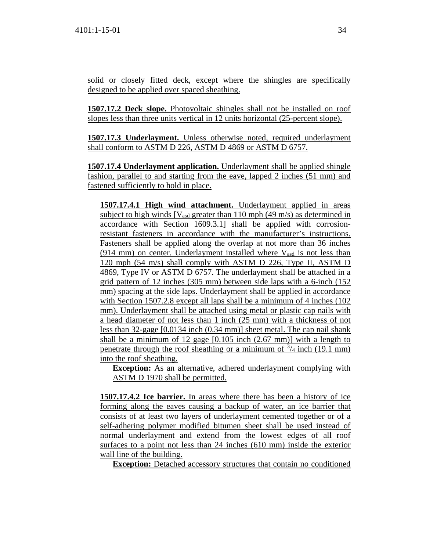solid or closely fitted deck, except where the shingles are specifically designed to be applied over spaced sheathing.

**1507.17.2 Deck slope.** Photovoltaic shingles shall not be installed on roof slopes less than three units vertical in 12 units horizontal (25-percent slope).

**1507.17.3 Underlayment.** Unless otherwise noted, required underlayment shall conform to ASTM D 226, ASTM D 4869 or ASTM D 6757.

**1507.17.4 Underlayment application.** Underlayment shall be applied shingle fashion, parallel to and starting from the eave, lapped 2 inches (51 mm) and fastened sufficiently to hold in place.

**1507.17.4.1 High wind attachment.** Underlayment applied in areas subject to high winds  $[V<sub>asd</sub>$  greater than 110 mph (49 m/s) as determined in accordance with Section 1609.3.1] shall be applied with corrosionresistant fasteners in accordance with the manufacturer's instructions. Fasteners shall be applied along the overlap at not more than 36 inches  $(914 \text{ mm})$  on center. Underlayment installed where  $V_{\text{asd}}$  is not less than 120 mph (54 m/s) shall comply with ASTM D 226, Type II, ASTM D 4869, Type IV or ASTM D 6757. The underlayment shall be attached in a grid pattern of 12 inches (305 mm) between side laps with a 6-inch (152 mm) spacing at the side laps. Underlayment shall be applied in accordance with Section 1507.2.8 except all laps shall be a minimum of 4 inches (102) mm). Underlayment shall be attached using metal or plastic cap nails with a head diameter of not less than 1 inch (25 mm) with a thickness of not less than 32-gage [0.0134 inch (0.34 mm)] sheet metal. The cap nail shank shall be a minimum of 12 gage [0.105 inch (2.67 mm)] with a length to penetrate through the roof sheathing or a minimum of  $\frac{3}{4}$  inch (19.1 mm) into the roof sheathing.

**Exception:** As an alternative, adhered underlayment complying with ASTM D 1970 shall be permitted.

**1507.17.4.2 Ice barrier.** In areas where there has been a history of ice forming along the eaves causing a backup of water, an ice barrier that consists of at least two layers of underlayment cemented together or of a self-adhering polymer modified bitumen sheet shall be used instead of normal underlayment and extend from the lowest edges of all roof surfaces to a point not less than 24 inches (610 mm) inside the exterior wall line of the building.

**Exception:** Detached accessory structures that contain no conditioned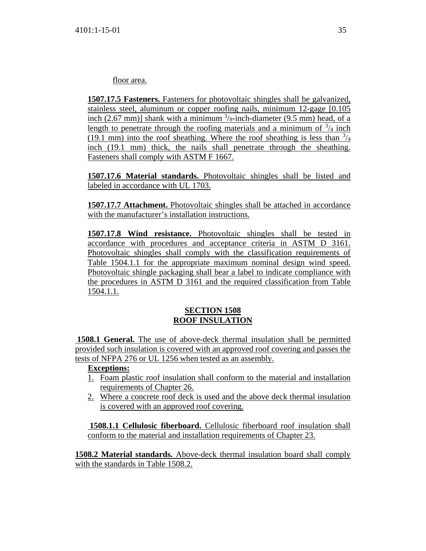floor area.

**1507.17.5 Fasteners.** Fasteners for photovoltaic shingles shall be galvanized, stainless steel, aluminum or copper roofing nails, minimum 12-gage [0.105 inch  $(2.67 \text{ mm})$ ] shank with a minimum  $\frac{3}{8}$ -inch-diameter  $(9.5 \text{ mm})$  head, of a length to penetrate through the roofing materials and a minimum of  $\frac{3}{4}$  inch (19.1 mm) into the roof sheathing. Where the roof sheathing is less than  $\frac{3}{4}$ inch (19.1 mm) thick, the nails shall penetrate through the sheathing. Fasteners shall comply with ASTM F 1667.

**1507.17.6 Material standards.** Photovoltaic shingles shall be listed and labeled in accordance with UL 1703.

**1507.17.7 Attachment.** Photovoltaic shingles shall be attached in accordance with the manufacturer's installation instructions.

**1507.17.8 Wind resistance.** Photovoltaic shingles shall be tested in accordance with procedures and acceptance criteria in ASTM D 3161. Photovoltaic shingles shall comply with the classification requirements of Table 1504.1.1 for the appropriate maximum nominal design wind speed. Photovoltaic shingle packaging shall bear a label to indicate compliance with the procedures in ASTM D 3161 and the required classification from Table 1504.1.1.

### **SECTION 1508 ROOF INSULATION**

 **1508.1 General.** The use of above-deck thermal insulation shall be permitted provided such insulation is covered with an approved roof covering and passes the tests of NFPA 276 or UL 1256 when tested as an assembly.

# **Exceptions:**

- 1. Foam plastic roof insulation shall conform to the material and installation requirements of Chapter 26.
- 2. Where a concrete roof deck is used and the above deck thermal insulation is covered with an approved roof covering.

 **1508.1.1 Cellulosic fiberboard.** Cellulosic fiberboard roof insulation shall conform to the material and installation requirements of Chapter 23.

**1508.2 Material standards.** Above-deck thermal insulation board shall comply with the standards in Table 1508.2.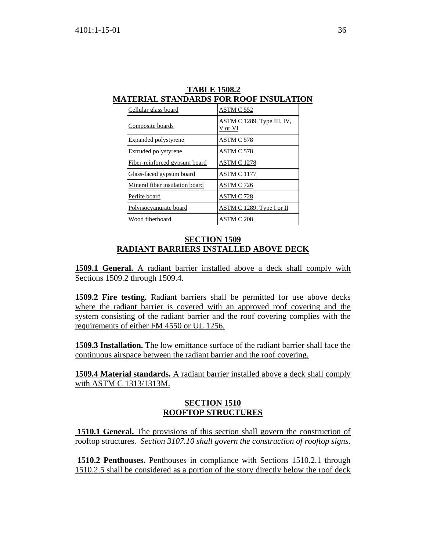| Cellular glass board           | <u>ASTM C 552</u>                     |
|--------------------------------|---------------------------------------|
| Composite boards               | ASTM C 1289, Type III, IV,<br>V or VI |
| Expanded polystyrene           | ASTM C 578                            |
| <b>Extruded polystyrene</b>    | ASTM C 578                            |
| Fiber-reinforced gypsum board  | <b>ASTM C 1278</b>                    |
| Glass-faced gypsum board       | <b>ASTM C 1177</b>                    |
| Mineral fiber insulation board | ASTM C 726                            |
| Perlite board                  | ASTM C 728                            |
| Polyisocyanurate board         | ASTM C 1289, Type I or II             |
| Wood fiberboard                | ASTM C 208                            |

 **TABLE 1508.2 MATERIAL STANDARDS FOR ROOF INSULATION**

### **SECTION 1509 RADIANT BARRIERS INSTALLED ABOVE DECK**

**1509.1 General.** A radiant barrier installed above a deck shall comply with Sections 1509.2 through 1509.4.

**1509.2 Fire testing.** Radiant barriers shall be permitted for use above decks where the radiant barrier is covered with an approved roof covering and the system consisting of the radiant barrier and the roof covering complies with the requirements of either FM 4550 or UL 1256.

**1509.3 Installation.** The low emittance surface of the radiant barrier shall face the continuous airspace between the radiant barrier and the roof covering.

**1509.4 Material standards.** A radiant barrier installed above a deck shall comply with ASTM C 1313/1313M.

### **SECTION 1510 ROOFTOP STRUCTURES**

**1510.1 General.** The provisions of this section shall govern the construction of rooftop structures. *Section 3107.10 shall govern the construction of rooftop signs*.

 **1510.2 Penthouses.** Penthouses in compliance with Sections 1510.2.1 through 1510.2.5 shall be considered as a portion of the story directly below the roof deck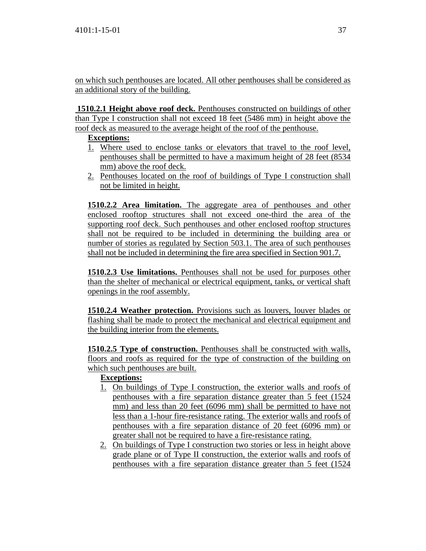on which such penthouses are located. All other penthouses shall be considered as an additional story of the building.

 **1510.2.1 Height above roof deck.** Penthouses constructed on buildings of other than Type I construction shall not exceed 18 feet (5486 mm) in height above the roof deck as measured to the average height of the roof of the penthouse.

# **Exceptions:**

- 1. Where used to enclose tanks or elevators that travel to the roof level, penthouses shall be permitted to have a maximum height of 28 feet (8534 mm) above the roof deck.
- 2. Penthouses located on the roof of buildings of Type I construction shall not be limited in height.

**1510.2.2 Area limitation.** The aggregate area of penthouses and other enclosed rooftop structures shall not exceed one-third the area of the supporting roof deck. Such penthouses and other enclosed rooftop structures shall not be required to be included in determining the building area or number of stories as regulated by Section 503.1. The area of such penthouses shall not be included in determining the fire area specified in Section 901.7.

**1510.2.3 Use limitations.** Penthouses shall not be used for purposes other than the shelter of mechanical or electrical equipment, tanks, or vertical shaft openings in the roof assembly.

**1510.2.4 Weather protection.** Provisions such as louvers, louver blades or flashing shall be made to protect the mechanical and electrical equipment and the building interior from the elements.

**1510.2.5 Type of construction.** Penthouses shall be constructed with walls, floors and roofs as required for the type of construction of the building on which such penthouses are built.

# **Exceptions:**

- 1. On buildings of Type I construction, the exterior walls and roofs of penthouses with a fire separation distance greater than 5 feet (1524 mm) and less than 20 feet (6096 mm) shall be permitted to have not less than a 1-hour fire-resistance rating. The exterior walls and roofs of penthouses with a fire separation distance of 20 feet (6096 mm) or greater shall not be required to have a fire-resistance rating.
- 2. On buildings of Type I construction two stories or less in height above grade plane or of Type II construction, the exterior walls and roofs of penthouses with a fire separation distance greater than 5 feet (1524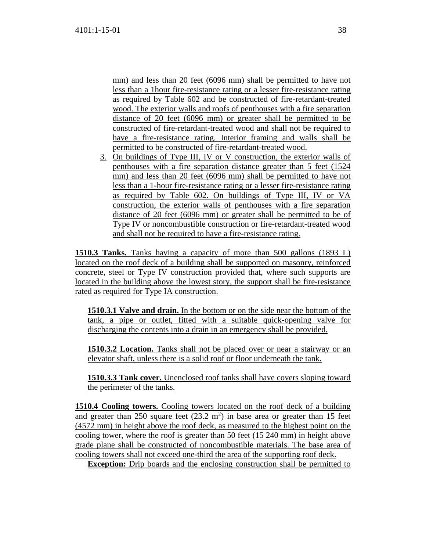mm) and less than 20 feet (6096 mm) shall be permitted to have not less than a 1hour fire-resistance rating or a lesser fire-resistance rating as required by Table 602 and be constructed of fire-retardant-treated wood. The exterior walls and roofs of penthouses with a fire separation distance of 20 feet (6096 mm) or greater shall be permitted to be constructed of fire-retardant-treated wood and shall not be required to have a fire-resistance rating. Interior framing and walls shall be permitted to be constructed of fire-retardant-treated wood.

3. On buildings of Type III, IV or V construction, the exterior walls of penthouses with a fire separation distance greater than 5 feet (1524 mm) and less than 20 feet (6096 mm) shall be permitted to have not less than a 1-hour fire-resistance rating or a lesser fire-resistance rating as required by Table 602. On buildings of Type III, IV or VA construction, the exterior walls of penthouses with a fire separation distance of 20 feet (6096 mm) or greater shall be permitted to be of Type IV or noncombustible construction or fire-retardant-treated wood and shall not be required to have a fire-resistance rating.

**1510.3 Tanks.** Tanks having a capacity of more than 500 gallons (1893 L) located on the roof deck of a building shall be supported on masonry, reinforced concrete, steel or Type IV construction provided that, where such supports are located in the building above the lowest story, the support shall be fire-resistance rated as required for Type IA construction.

**1510.3.1 Valve and drain.** In the bottom or on the side near the bottom of the tank, a pipe or outlet, fitted with a suitable quick-opening valve for discharging the contents into a drain in an emergency shall be provided.

**1510.3.2 Location.** Tanks shall not be placed over or near a stairway or an elevator shaft, unless there is a solid roof or floor underneath the tank.

**1510.3.3 Tank cover.** Unenclosed roof tanks shall have covers sloping toward the perimeter of the tanks.

**1510.4 Cooling towers.** Cooling towers located on the roof deck of a building and greater than  $250$  square feet  $(23.2 \text{ m}^2)$  in base area or greater than 15 feet (4572 mm) in height above the roof deck, as measured to the highest point on the cooling tower, where the roof is greater than 50 feet (15 240 mm) in height above grade plane shall be constructed of noncombustible materials. The base area of cooling towers shall not exceed one-third the area of the supporting roof deck.

**Exception:** Drip boards and the enclosing construction shall be permitted to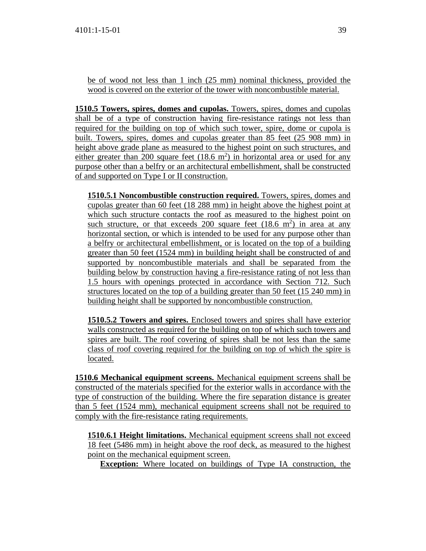be of wood not less than 1 inch (25 mm) nominal thickness, provided the wood is covered on the exterior of the tower with noncombustible material.

**1510.5 Towers, spires, domes and cupolas.** Towers, spires, domes and cupolas shall be of a type of construction having fire-resistance ratings not less than required for the building on top of which such tower, spire, dome or cupola is built. Towers, spires, domes and cupolas greater than 85 feet (25 908 mm) in height above grade plane as measured to the highest point on such structures, and either greater than 200 square feet  $(18.6 \text{ m}^2)$  in horizontal area or used for any purpose other than a belfry or an architectural embellishment, shall be constructed of and supported on Type I or II construction.

**1510.5.1 Noncombustible construction required.** Towers, spires, domes and cupolas greater than 60 feet (18 288 mm) in height above the highest point at which such structure contacts the roof as measured to the highest point on such structure, or that exceeds  $200$  square feet  $(18.6 \text{ m}^2)$  in area at any horizontal section, or which is intended to be used for any purpose other than a belfry or architectural embellishment, or is located on the top of a building greater than 50 feet (1524 mm) in building height shall be constructed of and supported by noncombustible materials and shall be separated from the building below by construction having a fire-resistance rating of not less than 1.5 hours with openings protected in accordance with Section 712. Such structures located on the top of a building greater than 50 feet (15 240 mm) in building height shall be supported by noncombustible construction.

**1510.5.2 Towers and spires.** Enclosed towers and spires shall have exterior walls constructed as required for the building on top of which such towers and spires are built. The roof covering of spires shall be not less than the same class of roof covering required for the building on top of which the spire is located.

**1510.6 Mechanical equipment screens.** Mechanical equipment screens shall be constructed of the materials specified for the exterior walls in accordance with the type of construction of the building. Where the fire separation distance is greater than 5 feet (1524 mm), mechanical equipment screens shall not be required to comply with the fire-resistance rating requirements.

**1510.6.1 Height limitations.** Mechanical equipment screens shall not exceed 18 feet (5486 mm) in height above the roof deck, as measured to the highest point on the mechanical equipment screen.

**Exception:** Where located on buildings of Type IA construction, the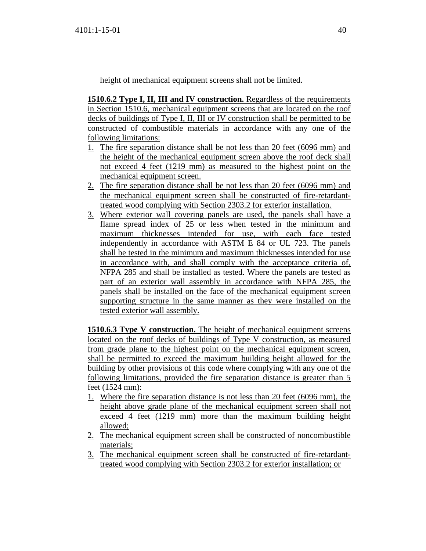height of mechanical equipment screens shall not be limited.

**1510.6.2 Type I, II, III and IV construction.** Regardless of the requirements in Section 1510.6, mechanical equipment screens that are located on the roof decks of buildings of Type I, II, III or IV construction shall be permitted to be constructed of combustible materials in accordance with any one of the following limitations:

- 1. The fire separation distance shall be not less than 20 feet (6096 mm) and the height of the mechanical equipment screen above the roof deck shall not exceed 4 feet (1219 mm) as measured to the highest point on the mechanical equipment screen.
- 2. The fire separation distance shall be not less than 20 feet (6096 mm) and the mechanical equipment screen shall be constructed of fire-retardanttreated wood complying with Section 2303.2 for exterior installation.
- 3. Where exterior wall covering panels are used, the panels shall have a flame spread index of 25 or less when tested in the minimum and maximum thicknesses intended for use, with each face tested independently in accordance with ASTM E 84 or UL 723. The panels shall be tested in the minimum and maximum thicknesses intended for use in accordance with, and shall comply with the acceptance criteria of, NFPA 285 and shall be installed as tested. Where the panels are tested as part of an exterior wall assembly in accordance with NFPA 285, the panels shall be installed on the face of the mechanical equipment screen supporting structure in the same manner as they were installed on the tested exterior wall assembly.

**1510.6.3 Type V construction.** The height of mechanical equipment screens located on the roof decks of buildings of Type V construction, as measured from grade plane to the highest point on the mechanical equipment screen, shall be permitted to exceed the maximum building height allowed for the building by other provisions of this code where complying with any one of the following limitations, provided the fire separation distance is greater than 5 feet (1524 mm):

- 1. Where the fire separation distance is not less than 20 feet (6096 mm), the height above grade plane of the mechanical equipment screen shall not exceed 4 feet (1219 mm) more than the maximum building height allowed;
- 2. The mechanical equipment screen shall be constructed of noncombustible materials;
- 3. The mechanical equipment screen shall be constructed of fire-retardanttreated wood complying with Section 2303.2 for exterior installation; or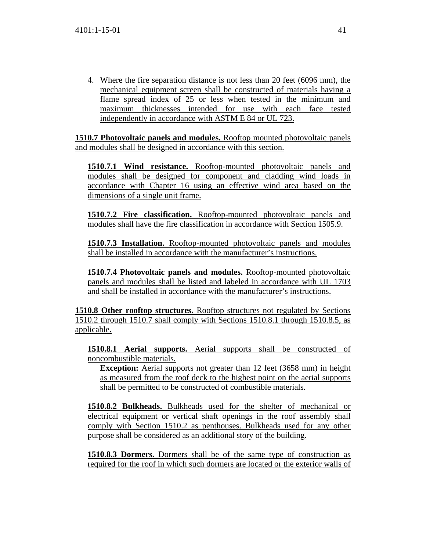4. Where the fire separation distance is not less than 20 feet (6096 mm), the mechanical equipment screen shall be constructed of materials having a flame spread index of 25 or less when tested in the minimum and maximum thicknesses intended for use with each face tested independently in accordance with ASTM E 84 or UL 723.

**1510.7 Photovoltaic panels and modules.** Rooftop mounted photovoltaic panels and modules shall be designed in accordance with this section.

**1510.7.1 Wind resistance.** Rooftop-mounted photovoltaic panels and modules shall be designed for component and cladding wind loads in accordance with Chapter 16 using an effective wind area based on the dimensions of a single unit frame.

**1510.7.2 Fire classification.** Rooftop-mounted photovoltaic panels and modules shall have the fire classification in accordance with Section 1505.9.

**1510.7.3 Installation.** Rooftop-mounted photovoltaic panels and modules shall be installed in accordance with the manufacturer's instructions.

**1510.7.4 Photovoltaic panels and modules.** Rooftop-mounted photovoltaic panels and modules shall be listed and labeled in accordance with UL 1703 and shall be installed in accordance with the manufacturer's instructions.

**1510.8 Other rooftop structures.** Rooftop structures not regulated by Sections 1510.2 through 1510.7 shall comply with Sections 1510.8.1 through 1510.8.5, as applicable.

**1510.8.1 Aerial supports.** Aerial supports shall be constructed of noncombustible materials.

**Exception:** Aerial supports not greater than 12 feet (3658 mm) in height as measured from the roof deck to the highest point on the aerial supports shall be permitted to be constructed of combustible materials.

**1510.8.2 Bulkheads.** Bulkheads used for the shelter of mechanical or electrical equipment or vertical shaft openings in the roof assembly shall comply with Section 1510.2 as penthouses. Bulkheads used for any other purpose shall be considered as an additional story of the building.

**1510.8.3 Dormers.** Dormers shall be of the same type of construction as required for the roof in which such dormers are located or the exterior walls of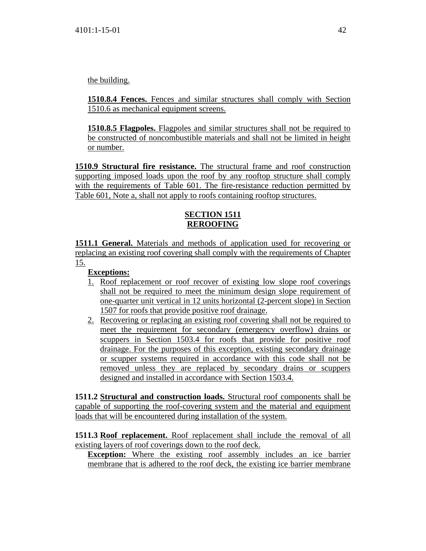the building.

**1510.8.4 Fences.** Fences and similar structures shall comply with Section 1510.6 as mechanical equipment screens.

**1510.8.5 Flagpoles.** Flagpoles and similar structures shall not be required to be constructed of noncombustible materials and shall not be limited in height or number.

**1510.9 Structural fire resistance.** The structural frame and roof construction supporting imposed loads upon the roof by any rooftop structure shall comply with the requirements of Table 601. The fire-resistance reduction permitted by Table 601, Note a, shall not apply to roofs containing rooftop structures.

# **SECTION 1511 REROOFING**

**1511.1 General.** Materials and methods of application used for recovering or replacing an existing roof covering shall comply with the requirements of Chapter 15.

**Exceptions:**

- 1. Roof replacement or roof recover of existing low slope roof coverings shall not be required to meet the minimum design slope requirement of one-quarter unit vertical in 12 units horizontal (2-percent slope) in Section 1507 for roofs that provide positive roof drainage.
- 2. Recovering or replacing an existing roof covering shall not be required to meet the requirement for secondary (emergency overflow) drains or scuppers in Section 1503.4 for roofs that provide for positive roof drainage. For the purposes of this exception, existing secondary drainage or scupper systems required in accordance with this code shall not be removed unless they are replaced by secondary drains or scuppers designed and installed in accordance with Section 1503.4.

**1511.2 Structural and construction loads.** Structural roof components shall be capable of supporting the roof-covering system and the material and equipment loads that will be encountered during installation of the system.

**1511.3 Roof replacement.** Roof replacement shall include the removal of all existing layers of roof coverings down to the roof deck.

**Exception:** Where the existing roof assembly includes an ice barrier membrane that is adhered to the roof deck, the existing ice barrier membrane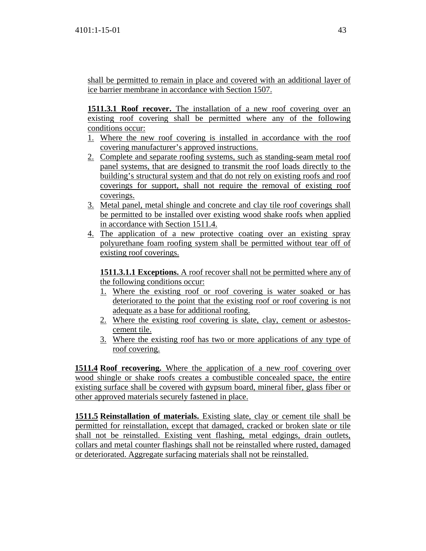shall be permitted to remain in place and covered with an additional layer of ice barrier membrane in accordance with Section 1507.

**1511.3.1 Roof recover.** The installation of a new roof covering over an existing roof covering shall be permitted where any of the following conditions occur:

- 1. Where the new roof covering is installed in accordance with the roof covering manufacturer's approved instructions.
- 2. Complete and separate roofing systems, such as standing-seam metal roof panel systems, that are designed to transmit the roof loads directly to the building's structural system and that do not rely on existing roofs and roof coverings for support, shall not require the removal of existing roof coverings.
- 3. Metal panel, metal shingle and concrete and clay tile roof coverings shall be permitted to be installed over existing wood shake roofs when applied in accordance with Section 1511.4.
- 4. The application of a new protective coating over an existing spray polyurethane foam roofing system shall be permitted without tear off of existing roof coverings.

**1511.3.1.1 Exceptions.** A roof recover shall not be permitted where any of the following conditions occur:

- 1. Where the existing roof or roof covering is water soaked or has deteriorated to the point that the existing roof or roof covering is not adequate as a base for additional roofing.
- 2. Where the existing roof covering is slate, clay, cement or asbestoscement tile.
- 3. Where the existing roof has two or more applications of any type of roof covering.

**1511.4 Roof recovering.** Where the application of a new roof covering over wood shingle or shake roofs creates a combustible concealed space, the entire existing surface shall be covered with gypsum board, mineral fiber, glass fiber or other approved materials securely fastened in place.

**1511.5 Reinstallation of materials.** Existing slate, clay or cement tile shall be permitted for reinstallation, except that damaged, cracked or broken slate or tile shall not be reinstalled. Existing vent flashing, metal edgings, drain outlets, collars and metal counter flashings shall not be reinstalled where rusted, damaged or deteriorated. Aggregate surfacing materials shall not be reinstalled.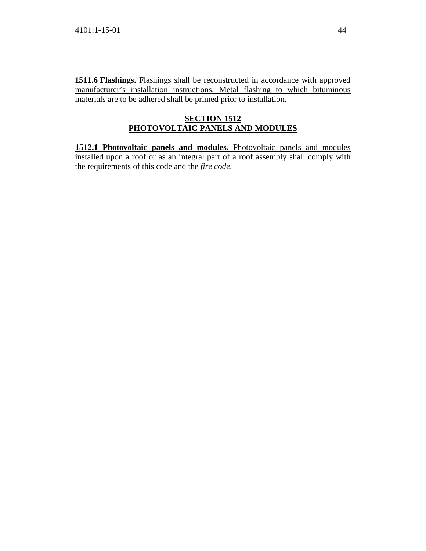**1511.6 Flashings.** Flashings shall be reconstructed in accordance with approved manufacturer's installation instructions. Metal flashing to which bituminous materials are to be adhered shall be primed prior to installation.

# **SECTION 1512 PHOTOVOLTAIC PANELS AND MODULES**

**1512.1 Photovoltaic panels and modules.** Photovoltaic panels and modules installed upon a roof or as an integral part of a roof assembly shall comply with the requirements of this code and the *fire code*.